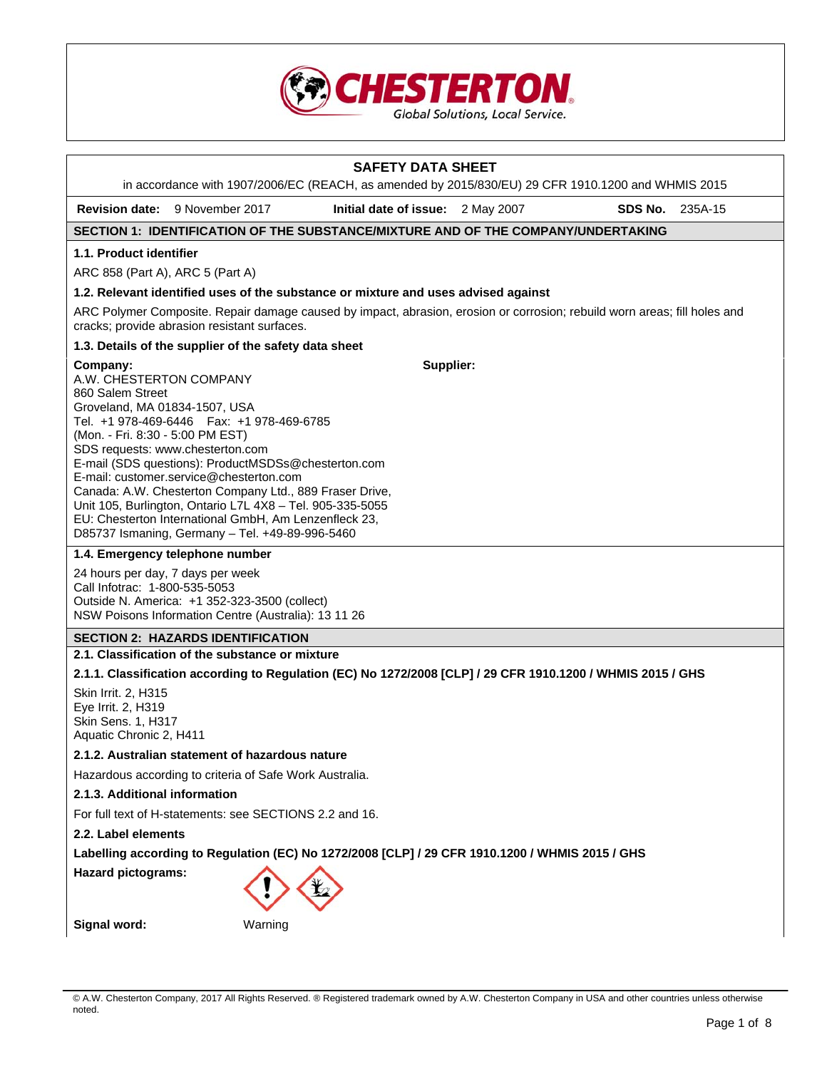

# **SAFETY DATA SHEET**  in accordance with 1907/2006/EC (REACH, as amended by 2015/830/EU) 29 CFR 1910.1200 and WHMIS 2015 **Revision date:** 9 November 2017 **Initial date of issue:** 2 May 2007 **SDS No.** 235A-15 **SECTION 1: IDENTIFICATION OF THE SUBSTANCE/MIXTURE AND OF THE COMPANY/UNDERTAKING 1.1. Product identifier**  ARC 858 (Part A), ARC 5 (Part A) **1.2. Relevant identified uses of the substance or mixture and uses advised against**  ARC Polymer Composite. Repair damage caused by impact, abrasion, erosion or corrosion; rebuild worn areas; fill holes and cracks; provide abrasion resistant surfaces. **1.3. Details of the supplier of the safety data sheet Company:** A.W. CHESTERTON COMPANY 860 Salem Street Groveland, MA 01834-1507, USA Tel. +1 978-469-6446 Fax: +1 978-469-6785 (Mon. - Fri. 8:30 - 5:00 PM EST) SDS requests: www.chesterton.com E-mail (SDS questions): ProductMSDSs@chesterton.com E-mail: customer.service@chesterton.com Canada: A.W. Chesterton Company Ltd., 889 Fraser Drive, Unit 105, Burlington, Ontario L7L 4X8 – Tel. 905-335-5055 EU: Chesterton International GmbH, Am Lenzenfleck 23, D85737 Ismaning, Germany – Tel. +49-89-996-5460 **Supplier: 1.4. Emergency telephone number**  24 hours per day, 7 days per week Call Infotrac: 1-800-535-5053 Outside N. America: +1 352-323-3500 (collect) NSW Poisons Information Centre (Australia): 13 11 26 **SECTION 2: HAZARDS IDENTIFICATION 2.1. Classification of the substance or mixture 2.1.1. Classification according to Regulation (EC) No 1272/2008 [CLP] / 29 CFR 1910.1200 / WHMIS 2015 / GHS**  Skin Irrit. 2, H315 Eye Irrit. 2, H319 Skin Sens. 1, H317 Aquatic Chronic 2, H411 **2.1.2. Australian statement of hazardous nature**  Hazardous according to criteria of Safe Work Australia. **2.1.3. Additional information**  For full text of H-statements: see SECTIONS 2.2 and 16. **2.2. Label elements Labelling according to Regulation (EC) No 1272/2008 [CLP] / 29 CFR 1910.1200 / WHMIS 2015 / GHS Hazard pictograms: Signal word:** Warning

© A.W. Chesterton Company, 2017 All Rights Reserved. ® Registered trademark owned by A.W. Chesterton Company in USA and other countries unless otherwise noted.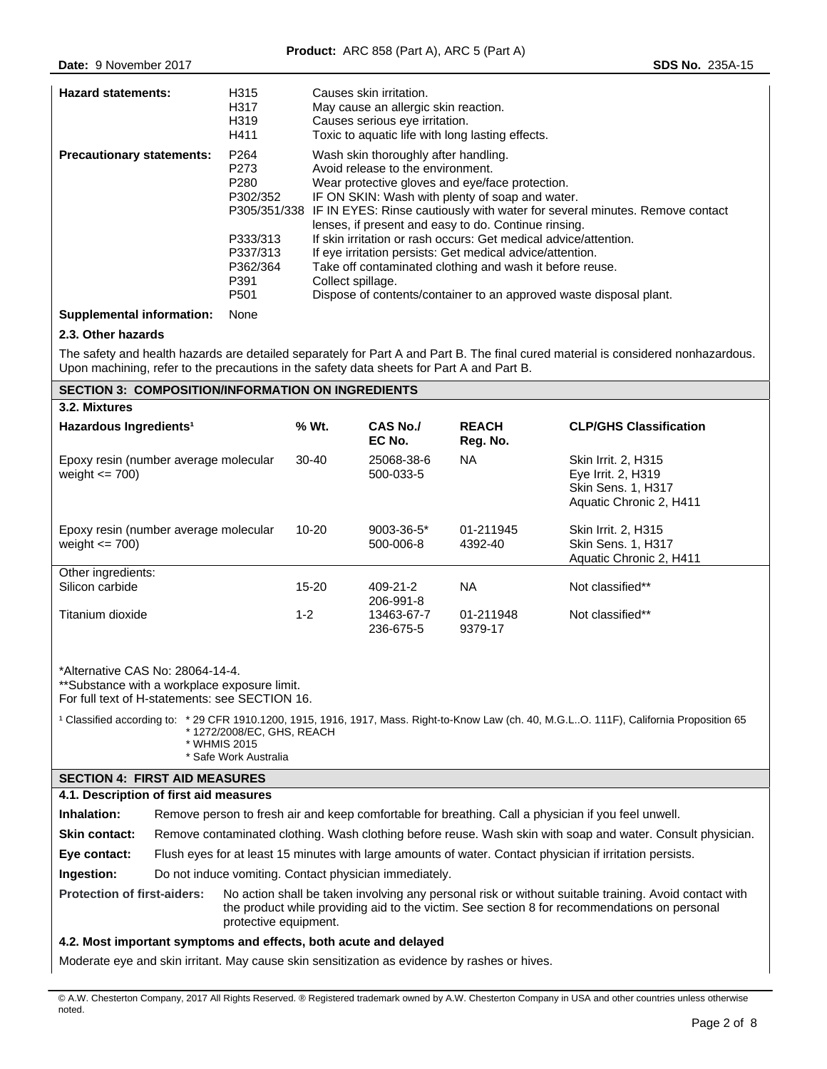| <b>Hazard statements:</b>        | H315<br>H317<br>H319<br>H411                             | Causes skin irritation.<br>May cause an allergic skin reaction.<br>Causes serious eye irritation.<br>Toxic to aquatic life with long lasting effects.                                                                                                                                                                               |
|----------------------------------|----------------------------------------------------------|-------------------------------------------------------------------------------------------------------------------------------------------------------------------------------------------------------------------------------------------------------------------------------------------------------------------------------------|
| <b>Precautionary statements:</b> | P <sub>264</sub><br>P273<br>P <sub>280</sub><br>P302/352 | Wash skin thoroughly after handling.<br>Avoid release to the environment.<br>Wear protective gloves and eye/face protection.<br>IF ON SKIN: Wash with plenty of soap and water.<br>P305/351/338 IF IN EYES: Rinse cautiously with water for several minutes. Remove contact<br>lenses, if present and easy to do. Continue rinsing. |
|                                  | P333/313<br>P337/313<br>P362/364<br>P391<br>P501         | If skin irritation or rash occurs: Get medical advice/attention.<br>If eye irritation persists: Get medical advice/attention.<br>Take off contaminated clothing and wash it before reuse.<br>Collect spillage.<br>Dispose of contents/container to an approved waste disposal plant.                                                |

## **Supplemental information:** None

# **2.3. Other hazards**

The safety and health hazards are detailed separately for Part A and Part B. The final cured material is considered nonhazardous. Upon machining, refer to the precautions in the safety data sheets for Part A and Part B.

| <b>SECTION 3: COMPOSITION/INFORMATION ON INGREDIENTS</b>    |           |                               |                          |                                                                                                          |  |  |  |
|-------------------------------------------------------------|-----------|-------------------------------|--------------------------|----------------------------------------------------------------------------------------------------------|--|--|--|
| 3.2. Mixtures                                               |           |                               |                          |                                                                                                          |  |  |  |
| Hazardous Ingredients <sup>1</sup>                          | % Wt.     | <b>CAS No./</b><br>EC No.     | <b>REACH</b><br>Reg. No. | <b>CLP/GHS Classification</b>                                                                            |  |  |  |
| Epoxy resin (number average molecular<br>weight $\leq$ 700) | $30-40$   | 25068-38-6<br>500-033-5       | <b>NA</b>                | <b>Skin Irrit. 2, H315</b><br>Eye Irrit. 2, H319<br><b>Skin Sens. 1, H317</b><br>Aquatic Chronic 2, H411 |  |  |  |
| Epoxy resin (number average molecular<br>weight $\leq$ 700) | 10-20     | $9003 - 36 - 5*$<br>500-006-8 | 01-211945<br>4392-40     | Skin Irrit. 2, H315<br><b>Skin Sens. 1, H317</b><br>Aquatic Chronic 2, H411                              |  |  |  |
| Other ingredients:                                          |           |                               |                          |                                                                                                          |  |  |  |
| Silicon carbide                                             | $15 - 20$ | 409-21-2<br>206-991-8         | <b>NA</b>                | Not classified**                                                                                         |  |  |  |
| Titanium dioxide                                            | $1 - 2$   | 13463-67-7<br>236-675-5       | 01-211948<br>9379-17     | Not classified**                                                                                         |  |  |  |

\*Alternative CAS No: 28064-14-4.

\*\*Substance with a workplace exposure limit.

For full text of H-statements: see SECTION 16.

<sup>1</sup> Classified according to: \* 29 CFR 1910.1200, 1915, 1916, 1917, Mass. Right-to-Know Law (ch. 40, M.G.L..O. 111F), California Proposition 65 \* 1272/2008/EC, GHS, REACH \* WHMIS 2015 \* Safe Work Australia

# **SECTION 4: FIRST AID MEASURES**

| 4.1. Description of first aid measures |                                                                                                           |                                                                                                                                                                                                                                |  |  |  |
|----------------------------------------|-----------------------------------------------------------------------------------------------------------|--------------------------------------------------------------------------------------------------------------------------------------------------------------------------------------------------------------------------------|--|--|--|
| Inhalation:                            |                                                                                                           | Remove person to fresh air and keep comfortable for breathing. Call a physician if you feel unwell.                                                                                                                            |  |  |  |
| <b>Skin contact:</b>                   |                                                                                                           | Remove contaminated clothing. Wash clothing before reuse. Wash skin with soap and water. Consult physician.                                                                                                                    |  |  |  |
| Eye contact:                           | Flush eyes for at least 15 minutes with large amounts of water. Contact physician if irritation persists. |                                                                                                                                                                                                                                |  |  |  |
| Ingestion:                             | Do not induce vomiting. Contact physician immediately.                                                    |                                                                                                                                                                                                                                |  |  |  |
| <b>Protection of first-aiders:</b>     |                                                                                                           | No action shall be taken involving any personal risk or without suitable training. Avoid contact with<br>the product while providing aid to the victim. See section 8 for recommendations on personal<br>protective equipment. |  |  |  |

# **4.2. Most important symptoms and effects, both acute and delayed**

Moderate eye and skin irritant. May cause skin sensitization as evidence by rashes or hives.

<sup>©</sup> A.W. Chesterton Company, 2017 All Rights Reserved. ® Registered trademark owned by A.W. Chesterton Company in USA and other countries unless otherwise noted.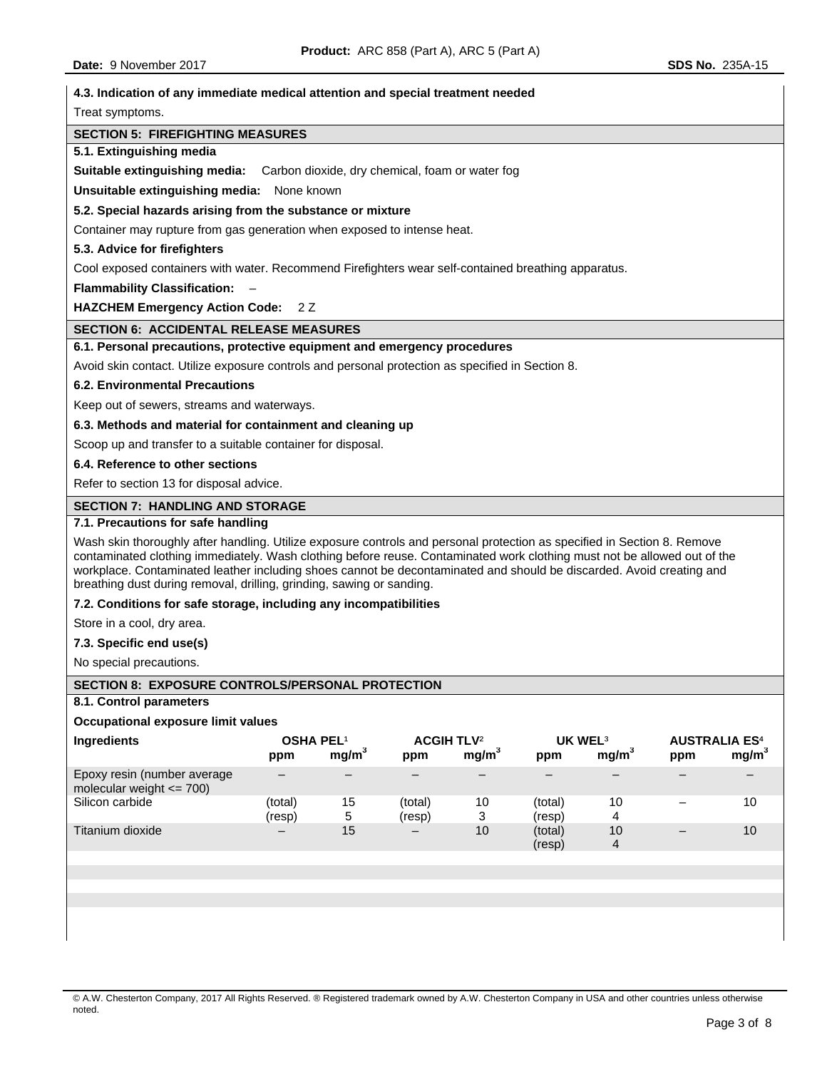Titanium dioxide – 15

| 4.3. Indication of any immediate medical attention and special treatment needed                                                                                                                                                                                                                                                                                                                                                                       |  |  |  |  |  |  |
|-------------------------------------------------------------------------------------------------------------------------------------------------------------------------------------------------------------------------------------------------------------------------------------------------------------------------------------------------------------------------------------------------------------------------------------------------------|--|--|--|--|--|--|
| Treat symptoms.                                                                                                                                                                                                                                                                                                                                                                                                                                       |  |  |  |  |  |  |
| <b>SECTION 5: FIREFIGHTING MEASURES</b>                                                                                                                                                                                                                                                                                                                                                                                                               |  |  |  |  |  |  |
| 5.1. Extinguishing media                                                                                                                                                                                                                                                                                                                                                                                                                              |  |  |  |  |  |  |
| <b>Suitable extinguishing media:</b> Carbon dioxide, dry chemical, foam or water fog                                                                                                                                                                                                                                                                                                                                                                  |  |  |  |  |  |  |
| Unsuitable extinguishing media: None known                                                                                                                                                                                                                                                                                                                                                                                                            |  |  |  |  |  |  |
| 5.2. Special hazards arising from the substance or mixture                                                                                                                                                                                                                                                                                                                                                                                            |  |  |  |  |  |  |
| Container may rupture from gas generation when exposed to intense heat.                                                                                                                                                                                                                                                                                                                                                                               |  |  |  |  |  |  |
| 5.3. Advice for firefighters                                                                                                                                                                                                                                                                                                                                                                                                                          |  |  |  |  |  |  |
| Cool exposed containers with water. Recommend Firefighters wear self-contained breathing apparatus.                                                                                                                                                                                                                                                                                                                                                   |  |  |  |  |  |  |
| <b>Flammability Classification:</b>                                                                                                                                                                                                                                                                                                                                                                                                                   |  |  |  |  |  |  |
| <b>HAZCHEM Emergency Action Code:</b><br>2 Z                                                                                                                                                                                                                                                                                                                                                                                                          |  |  |  |  |  |  |
| <b>SECTION 6: ACCIDENTAL RELEASE MEASURES</b>                                                                                                                                                                                                                                                                                                                                                                                                         |  |  |  |  |  |  |
| 6.1. Personal precautions, protective equipment and emergency procedures                                                                                                                                                                                                                                                                                                                                                                              |  |  |  |  |  |  |
| Avoid skin contact. Utilize exposure controls and personal protection as specified in Section 8.                                                                                                                                                                                                                                                                                                                                                      |  |  |  |  |  |  |
| <b>6.2. Environmental Precautions</b>                                                                                                                                                                                                                                                                                                                                                                                                                 |  |  |  |  |  |  |
| Keep out of sewers, streams and waterways.                                                                                                                                                                                                                                                                                                                                                                                                            |  |  |  |  |  |  |
| 6.3. Methods and material for containment and cleaning up                                                                                                                                                                                                                                                                                                                                                                                             |  |  |  |  |  |  |
| Scoop up and transfer to a suitable container for disposal.                                                                                                                                                                                                                                                                                                                                                                                           |  |  |  |  |  |  |
| 6.4. Reference to other sections                                                                                                                                                                                                                                                                                                                                                                                                                      |  |  |  |  |  |  |
| Refer to section 13 for disposal advice.                                                                                                                                                                                                                                                                                                                                                                                                              |  |  |  |  |  |  |
| <b>SECTION 7: HANDLING AND STORAGE</b>                                                                                                                                                                                                                                                                                                                                                                                                                |  |  |  |  |  |  |
| 7.1. Precautions for safe handling                                                                                                                                                                                                                                                                                                                                                                                                                    |  |  |  |  |  |  |
| Wash skin thoroughly after handling. Utilize exposure controls and personal protection as specified in Section 8. Remove<br>contaminated clothing immediately. Wash clothing before reuse. Contaminated work clothing must not be allowed out of the<br>workplace. Contaminated leather including shoes cannot be decontaminated and should be discarded. Avoid creating and<br>breathing dust during removal, drilling, grinding, sawing or sanding. |  |  |  |  |  |  |
| 7.2. Conditions for safe storage, including any incompatibilities                                                                                                                                                                                                                                                                                                                                                                                     |  |  |  |  |  |  |
| Store in a cool, dry area.                                                                                                                                                                                                                                                                                                                                                                                                                            |  |  |  |  |  |  |
| 7.3. Specific end use(s)                                                                                                                                                                                                                                                                                                                                                                                                                              |  |  |  |  |  |  |
| No special precautions.                                                                                                                                                                                                                                                                                                                                                                                                                               |  |  |  |  |  |  |
| SECTION 8: EXPOSURE CONTROLS/PERSONAL PROTECTION                                                                                                                                                                                                                                                                                                                                                                                                      |  |  |  |  |  |  |
| 8.1. Control parameters                                                                                                                                                                                                                                                                                                                                                                                                                               |  |  |  |  |  |  |
| <b>Occupational exposure limit values</b>                                                                                                                                                                                                                                                                                                                                                                                                             |  |  |  |  |  |  |
| <b>ACGIH TLV<sup>2</sup></b><br><b>UK WEL3</b><br>Ingredients<br>OSHA PEL <sup>1</sup><br><b>AUSTRALIA ES4</b><br>mg/m <sup>3</sup><br>mg/m <sup>3</sup><br>mg/m <sup>3</sup><br>mg/m <sup>3</sup><br>ppm<br>ppm<br>ppm<br>ppm                                                                                                                                                                                                                        |  |  |  |  |  |  |
| Epoxy resin (number average<br>$\overline{\phantom{0}}$<br>$-$<br>$\overline{\phantom{0}}$<br>—<br>$\qquad \qquad -$<br>$\overline{\phantom{0}}$<br>—<br>$\overline{\phantom{0}}$<br>molecular weight $\leq$ 700)                                                                                                                                                                                                                                     |  |  |  |  |  |  |
| Silicon carbide<br>10<br>10<br>(total)<br>15<br>(total)<br>10<br>(total)<br>$\qquad \qquad -$<br>5<br>3<br>$\overline{4}$<br>(resp)<br>(resp)<br>(resp)                                                                                                                                                                                                                                                                                               |  |  |  |  |  |  |

(resp)

10 4

– 10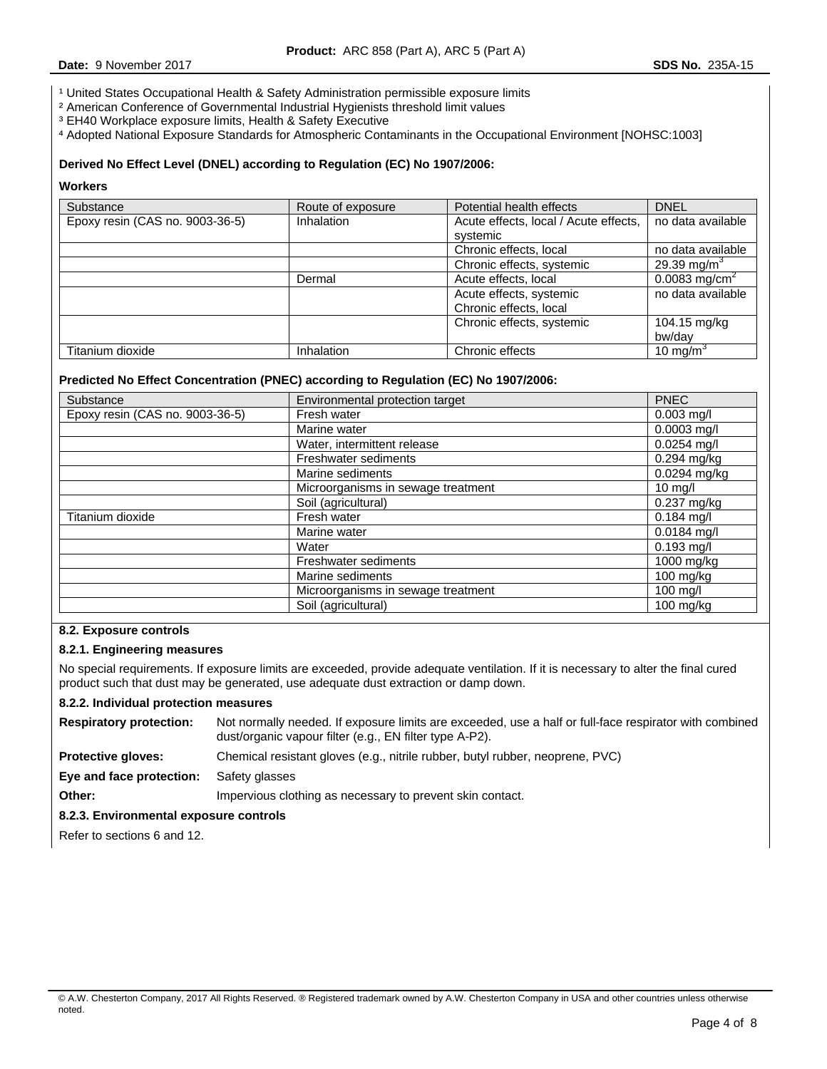<sup>1</sup> United States Occupational Health & Safety Administration permissible exposure limits

- ² American Conference of Governmental Industrial Hygienists threshold limit values
- ³ EH40 Workplace exposure limits, Health & Safety Executive

⁴ Adopted National Exposure Standards for Atmospheric Contaminants in the Occupational Environment [NOHSC:1003]

## **Derived No Effect Level (DNEL) according to Regulation (EC) No 1907/2006:**

## **Workers**

| Substance                       | Route of exposure | Potential health effects              | <b>DNEL</b>             |
|---------------------------------|-------------------|---------------------------------------|-------------------------|
| Epoxy resin (CAS no. 9003-36-5) | <b>Inhalation</b> | Acute effects, local / Acute effects, | no data available       |
|                                 |                   | systemic                              |                         |
|                                 |                   | Chronic effects, local                | no data available       |
|                                 |                   | Chronic effects, systemic             | 29.39 mg/m <sup>3</sup> |
|                                 | Dermal            | Acute effects, local                  |                         |
|                                 |                   | Acute effects, systemic               | no data available       |
|                                 |                   | Chronic effects, local                |                         |
|                                 |                   | Chronic effects, systemic             | 104.15 mg/kg            |
|                                 |                   |                                       | bw/dav                  |
| Titanium dioxide                | <b>Inhalation</b> | Chronic effects                       | 10 mg/m $3$             |

## **Predicted No Effect Concentration (PNEC) according to Regulation (EC) No 1907/2006:**

| Substance                       | Environmental protection target    | <b>PNEC</b>         |
|---------------------------------|------------------------------------|---------------------|
| Epoxy resin (CAS no. 9003-36-5) | Fresh water                        | $0.003$ mg/l        |
|                                 | Marine water                       | $0.0003$ mg/l       |
|                                 | Water, intermittent release        | $0.0254$ mg/l       |
|                                 | <b>Freshwater sediments</b>        | 0.294 mg/kg         |
|                                 | Marine sediments                   | 0.0294 mg/kg        |
|                                 | Microorganisms in sewage treatment | $10$ mg/l           |
|                                 | Soil (agricultural)                | 0.237 mg/kg         |
| Titanium dioxide                | Fresh water                        | $0.184$ mg/l        |
|                                 | Marine water                       | $0.0184$ mg/l       |
|                                 | Water                              | $0.193$ mg/l        |
|                                 | Freshwater sediments               | 1000 mg/kg          |
|                                 | Marine sediments                   | $100$ mg/kg         |
|                                 | Microorganisms in sewage treatment | 100 mg/l            |
|                                 | Soil (agricultural)                | $100 \text{ mg/kg}$ |

## **8.2. Exposure controls**

## **8.2.1. Engineering measures**

No special requirements. If exposure limits are exceeded, provide adequate ventilation. If it is necessary to alter the final cured product such that dust may be generated, use adequate dust extraction or damp down.

#### **8.2.2. Individual protection measures**

| <b>Respiratory protection:</b> | Not normally needed. If exposure limits are exceeded, use a half or full-face respirator with combined |
|--------------------------------|--------------------------------------------------------------------------------------------------------|
|                                | dust/organic vapour filter (e.g., EN filter type A-P2).                                                |
| <b>Protective gloves:</b>      | Chemical resistant gloves (e.g., nitrile rubber, butyl rubber, neoprene, PVC)                          |

**Eye and face protection:** Safety glasses

**Other: Impervious clothing as necessary to prevent skin contact.** 

## **8.2.3. Environmental exposure controls**

Refer to sections 6 and 12.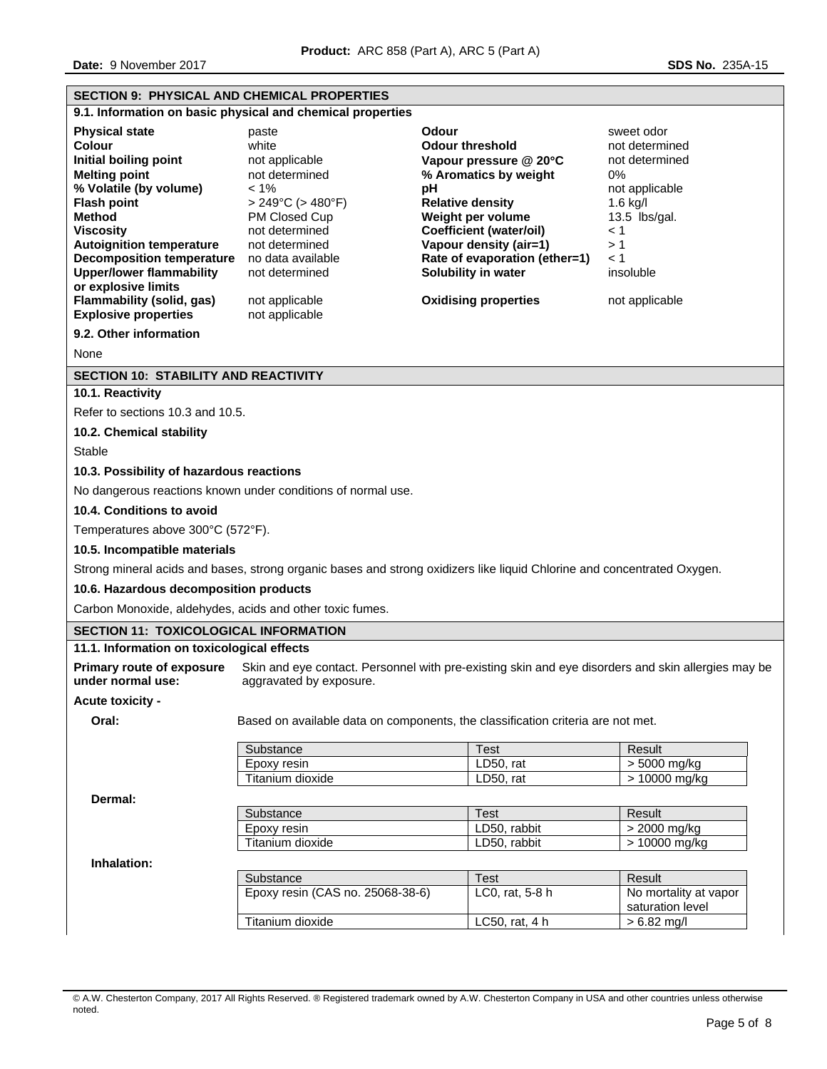| SECTION 9: PHYSICAL AND CHEMICAL PROPERTIES                                                                                                                                                                                                                                                                                                                               |                                                                                                                                                                                                                                         |                                                                                                                                                                                                                                                                                      |                                                                                                                                                                      |  |  |  |
|---------------------------------------------------------------------------------------------------------------------------------------------------------------------------------------------------------------------------------------------------------------------------------------------------------------------------------------------------------------------------|-----------------------------------------------------------------------------------------------------------------------------------------------------------------------------------------------------------------------------------------|--------------------------------------------------------------------------------------------------------------------------------------------------------------------------------------------------------------------------------------------------------------------------------------|----------------------------------------------------------------------------------------------------------------------------------------------------------------------|--|--|--|
|                                                                                                                                                                                                                                                                                                                                                                           | 9.1. Information on basic physical and chemical properties                                                                                                                                                                              |                                                                                                                                                                                                                                                                                      |                                                                                                                                                                      |  |  |  |
| <b>Physical state</b><br><b>Colour</b><br>Initial boiling point<br><b>Melting point</b><br>% Volatile (by volume)<br><b>Flash point</b><br><b>Method</b><br><b>Viscosity</b><br><b>Autoignition temperature</b><br><b>Decomposition temperature</b><br><b>Upper/lower flammability</b><br>or explosive limits<br>Flammability (solid, gas)<br><b>Explosive properties</b> | paste<br>white<br>not applicable<br>not determined<br>$< 1\%$<br>$> 249^{\circ}$ C ( $> 480^{\circ}$ F)<br>PM Closed Cup<br>not determined<br>not determined<br>no data available<br>not determined<br>not applicable<br>not applicable | Odour<br><b>Odour threshold</b><br>Vapour pressure @ 20°C<br>% Aromatics by weight<br>pH<br><b>Relative density</b><br>Weight per volume<br>Coefficient (water/oil)<br>Vapour density (air=1)<br>Rate of evaporation (ether=1)<br>Solubility in water<br><b>Oxidising properties</b> | sweet odor<br>not determined<br>not determined<br>0%<br>not applicable<br>$1.6$ kg/l<br>$13.5$ lbs/gal.<br>$\leq 1$<br>>1<br>$\leq 1$<br>insoluble<br>not applicable |  |  |  |
| 9.2. Other information                                                                                                                                                                                                                                                                                                                                                    |                                                                                                                                                                                                                                         |                                                                                                                                                                                                                                                                                      |                                                                                                                                                                      |  |  |  |
| None                                                                                                                                                                                                                                                                                                                                                                      |                                                                                                                                                                                                                                         |                                                                                                                                                                                                                                                                                      |                                                                                                                                                                      |  |  |  |
| <b>SECTION 10: STABILITY AND REACTIVITY</b><br>10.1. Reactivity                                                                                                                                                                                                                                                                                                           |                                                                                                                                                                                                                                         |                                                                                                                                                                                                                                                                                      |                                                                                                                                                                      |  |  |  |
| Refer to sections 10.3 and 10.5.                                                                                                                                                                                                                                                                                                                                          |                                                                                                                                                                                                                                         |                                                                                                                                                                                                                                                                                      |                                                                                                                                                                      |  |  |  |
| 10.2. Chemical stability                                                                                                                                                                                                                                                                                                                                                  |                                                                                                                                                                                                                                         |                                                                                                                                                                                                                                                                                      |                                                                                                                                                                      |  |  |  |
| Stable                                                                                                                                                                                                                                                                                                                                                                    |                                                                                                                                                                                                                                         |                                                                                                                                                                                                                                                                                      |                                                                                                                                                                      |  |  |  |
| 10.3. Possibility of hazardous reactions                                                                                                                                                                                                                                                                                                                                  |                                                                                                                                                                                                                                         |                                                                                                                                                                                                                                                                                      |                                                                                                                                                                      |  |  |  |
|                                                                                                                                                                                                                                                                                                                                                                           | No dangerous reactions known under conditions of normal use.                                                                                                                                                                            |                                                                                                                                                                                                                                                                                      |                                                                                                                                                                      |  |  |  |
| 10.4. Conditions to avoid                                                                                                                                                                                                                                                                                                                                                 |                                                                                                                                                                                                                                         |                                                                                                                                                                                                                                                                                      |                                                                                                                                                                      |  |  |  |
| Temperatures above 300°C (572°F).                                                                                                                                                                                                                                                                                                                                         |                                                                                                                                                                                                                                         |                                                                                                                                                                                                                                                                                      |                                                                                                                                                                      |  |  |  |
| 10.5. Incompatible materials                                                                                                                                                                                                                                                                                                                                              |                                                                                                                                                                                                                                         |                                                                                                                                                                                                                                                                                      |                                                                                                                                                                      |  |  |  |
|                                                                                                                                                                                                                                                                                                                                                                           |                                                                                                                                                                                                                                         | Strong mineral acids and bases, strong organic bases and strong oxidizers like liquid Chlorine and concentrated Oxygen.                                                                                                                                                              |                                                                                                                                                                      |  |  |  |
| 10.6. Hazardous decomposition products                                                                                                                                                                                                                                                                                                                                    |                                                                                                                                                                                                                                         |                                                                                                                                                                                                                                                                                      |                                                                                                                                                                      |  |  |  |
| Carbon Monoxide, aldehydes, acids and other toxic fumes.                                                                                                                                                                                                                                                                                                                  |                                                                                                                                                                                                                                         |                                                                                                                                                                                                                                                                                      |                                                                                                                                                                      |  |  |  |
| <b>SECTION 11: TOXICOLOGICAL INFORMATION</b>                                                                                                                                                                                                                                                                                                                              |                                                                                                                                                                                                                                         |                                                                                                                                                                                                                                                                                      |                                                                                                                                                                      |  |  |  |
| 11.1. Information on toxicological effects                                                                                                                                                                                                                                                                                                                                |                                                                                                                                                                                                                                         |                                                                                                                                                                                                                                                                                      |                                                                                                                                                                      |  |  |  |
| <b>Primary route of exposure</b><br>under normal use:                                                                                                                                                                                                                                                                                                                     | aggravated by exposure.                                                                                                                                                                                                                 | Skin and eye contact. Personnel with pre-existing skin and eye disorders and skin allergies may be                                                                                                                                                                                   |                                                                                                                                                                      |  |  |  |
| Acute toxicity -                                                                                                                                                                                                                                                                                                                                                          |                                                                                                                                                                                                                                         |                                                                                                                                                                                                                                                                                      |                                                                                                                                                                      |  |  |  |
| Oral:                                                                                                                                                                                                                                                                                                                                                                     | Based on available data on components, the classification criteria are not met.                                                                                                                                                         |                                                                                                                                                                                                                                                                                      |                                                                                                                                                                      |  |  |  |
|                                                                                                                                                                                                                                                                                                                                                                           | Substance                                                                                                                                                                                                                               | Test                                                                                                                                                                                                                                                                                 | Result                                                                                                                                                               |  |  |  |
|                                                                                                                                                                                                                                                                                                                                                                           | Epoxy resin<br>Titanium dioxide                                                                                                                                                                                                         | LD50, rat<br>LD50, rat                                                                                                                                                                                                                                                               | > 5000 mg/kg<br>$>10000$ mg/kg                                                                                                                                       |  |  |  |
|                                                                                                                                                                                                                                                                                                                                                                           |                                                                                                                                                                                                                                         |                                                                                                                                                                                                                                                                                      |                                                                                                                                                                      |  |  |  |
| Dermal:                                                                                                                                                                                                                                                                                                                                                                   | Result<br>Substance<br><b>Test</b>                                                                                                                                                                                                      |                                                                                                                                                                                                                                                                                      |                                                                                                                                                                      |  |  |  |
|                                                                                                                                                                                                                                                                                                                                                                           | Epoxy resin                                                                                                                                                                                                                             | LD50, rabbit                                                                                                                                                                                                                                                                         | > 2000 mg/kg                                                                                                                                                         |  |  |  |
|                                                                                                                                                                                                                                                                                                                                                                           | Titanium dioxide<br>LD50, rabbit<br>> 10000 mg/kg                                                                                                                                                                                       |                                                                                                                                                                                                                                                                                      |                                                                                                                                                                      |  |  |  |
| Inhalation:                                                                                                                                                                                                                                                                                                                                                               |                                                                                                                                                                                                                                         |                                                                                                                                                                                                                                                                                      |                                                                                                                                                                      |  |  |  |
|                                                                                                                                                                                                                                                                                                                                                                           | Substance<br>Epoxy resin (CAS no. 25068-38-6)                                                                                                                                                                                           | Test<br>LC0, rat, 5-8 h                                                                                                                                                                                                                                                              | Result<br>No mortality at vapor                                                                                                                                      |  |  |  |
|                                                                                                                                                                                                                                                                                                                                                                           |                                                                                                                                                                                                                                         |                                                                                                                                                                                                                                                                                      | saturation level                                                                                                                                                     |  |  |  |
|                                                                                                                                                                                                                                                                                                                                                                           | Titanium dioxide<br>LC50, rat, 4 h<br>$> 6.82$ mg/l                                                                                                                                                                                     |                                                                                                                                                                                                                                                                                      |                                                                                                                                                                      |  |  |  |

<sup>©</sup> A.W. Chesterton Company, 2017 All Rights Reserved. ® Registered trademark owned by A.W. Chesterton Company in USA and other countries unless otherwise noted.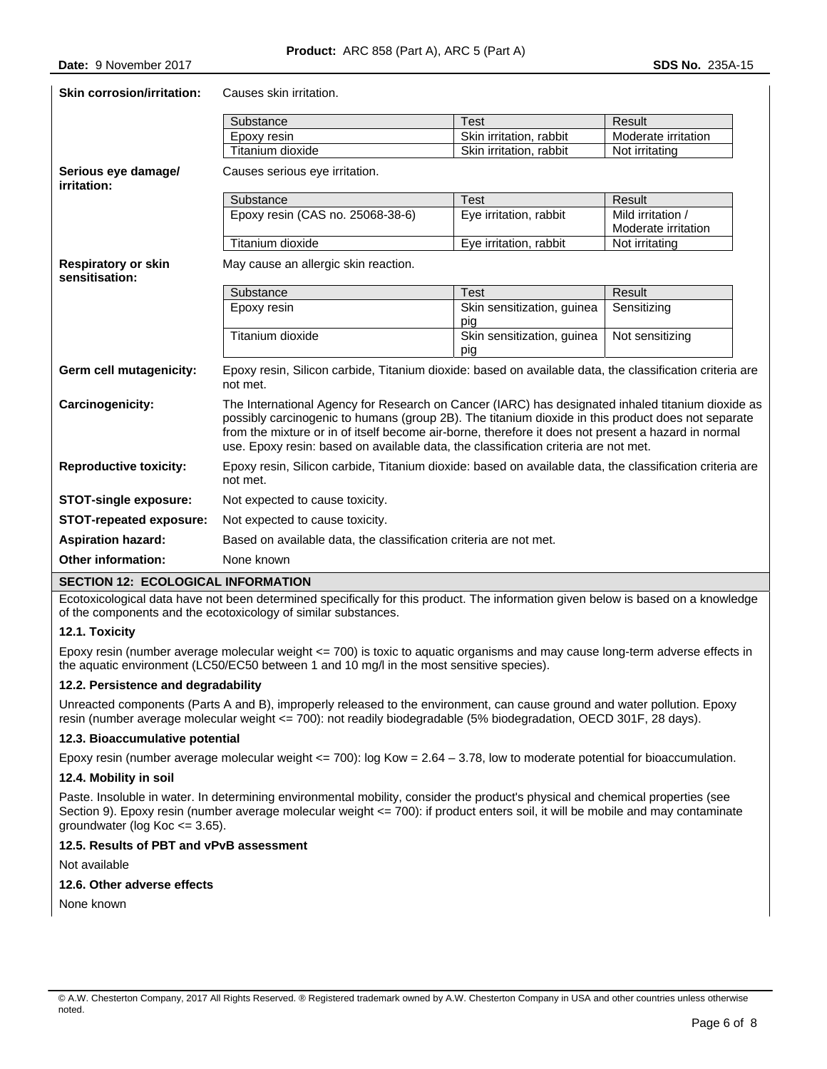| <b>Skin corrosion/irritation:</b>            | Causes skin irritation.                                                                                                                                                                                                                                                                                                                                                                               |                                   |                                          |  |  |
|----------------------------------------------|-------------------------------------------------------------------------------------------------------------------------------------------------------------------------------------------------------------------------------------------------------------------------------------------------------------------------------------------------------------------------------------------------------|-----------------------------------|------------------------------------------|--|--|
|                                              | Substance<br><b>Test</b>                                                                                                                                                                                                                                                                                                                                                                              |                                   | Result                                   |  |  |
|                                              | Epoxy resin                                                                                                                                                                                                                                                                                                                                                                                           | Skin irritation, rabbit           | Moderate irritation                      |  |  |
|                                              | Titanium dioxide                                                                                                                                                                                                                                                                                                                                                                                      | Skin irritation, rabbit           | Not irritating                           |  |  |
| Serious eye damagel<br>irritation:           | Causes serious eye irritation.                                                                                                                                                                                                                                                                                                                                                                        |                                   |                                          |  |  |
|                                              | Substance                                                                                                                                                                                                                                                                                                                                                                                             | <b>Test</b>                       | Result                                   |  |  |
|                                              | Epoxy resin (CAS no. 25068-38-6)                                                                                                                                                                                                                                                                                                                                                                      | Eye irritation, rabbit            | Mild irritation /<br>Moderate irritation |  |  |
|                                              | Titanium dioxide                                                                                                                                                                                                                                                                                                                                                                                      | Eye irritation, rabbit            | Not irritating                           |  |  |
| <b>Respiratory or skin</b><br>sensitisation: | May cause an allergic skin reaction.                                                                                                                                                                                                                                                                                                                                                                  |                                   |                                          |  |  |
|                                              | Substance                                                                                                                                                                                                                                                                                                                                                                                             | <b>Test</b>                       | Result                                   |  |  |
|                                              | Epoxy resin                                                                                                                                                                                                                                                                                                                                                                                           | Skin sensitization, guinea<br>pig | Sensitizing                              |  |  |
|                                              | Titanium dioxide                                                                                                                                                                                                                                                                                                                                                                                      | Skin sensitization, guinea<br>pig | Not sensitizing                          |  |  |
| Germ cell mutagenicity:                      | Epoxy resin, Silicon carbide, Titanium dioxide: based on available data, the classification criteria are<br>not met.                                                                                                                                                                                                                                                                                  |                                   |                                          |  |  |
| Carcinogenicity:                             | The International Agency for Research on Cancer (IARC) has designated inhaled titanium dioxide as<br>possibly carcinogenic to humans (group 2B). The titanium dioxide in this product does not separate<br>from the mixture or in of itself become air-borne, therefore it does not present a hazard in normal<br>use. Epoxy resin: based on available data, the classification criteria are not met. |                                   |                                          |  |  |
| <b>Reproductive toxicity:</b>                | Epoxy resin, Silicon carbide, Titanium dioxide: based on available data, the classification criteria are<br>not met.                                                                                                                                                                                                                                                                                  |                                   |                                          |  |  |
| <b>STOT-single exposure:</b>                 | Not expected to cause toxicity.                                                                                                                                                                                                                                                                                                                                                                       |                                   |                                          |  |  |
| STOT-repeated exposure:                      | Not expected to cause toxicity.                                                                                                                                                                                                                                                                                                                                                                       |                                   |                                          |  |  |
| <b>Aspiration hazard:</b>                    | Based on available data, the classification criteria are not met.                                                                                                                                                                                                                                                                                                                                     |                                   |                                          |  |  |
| <b>Other information:</b>                    | None known                                                                                                                                                                                                                                                                                                                                                                                            |                                   |                                          |  |  |

## **SECTION 12: ECOLOGICAL INFORMATION**

Ecotoxicological data have not been determined specifically for this product. The information given below is based on a knowledge of the components and the ecotoxicology of similar substances.

## **12.1. Toxicity**

Epoxy resin (number average molecular weight <= 700) is toxic to aquatic organisms and may cause long-term adverse effects in the aquatic environment (LC50/EC50 between 1 and 10 mg/l in the most sensitive species).

## **12.2. Persistence and degradability**

Unreacted components (Parts A and B), improperly released to the environment, can cause ground and water pollution. Epoxy resin (number average molecular weight <= 700): not readily biodegradable (5% biodegradation, OECD 301F, 28 days).

## **12.3. Bioaccumulative potential**

Epoxy resin (number average molecular weight <= 700): log Kow = 2.64 – 3.78, low to moderate potential for bioaccumulation.

## **12.4. Mobility in soil**

Paste. Insoluble in water. In determining environmental mobility, consider the product's physical and chemical properties (see Section 9). Epoxy resin (number average molecular weight <= 700): if product enters soil, it will be mobile and may contaminate groundwater (log Koc <= 3.65).

# **12.5. Results of PBT and vPvB assessment**

Not available

## **12.6. Other adverse effects**

None known

<sup>©</sup> A.W. Chesterton Company, 2017 All Rights Reserved. ® Registered trademark owned by A.W. Chesterton Company in USA and other countries unless otherwise noted.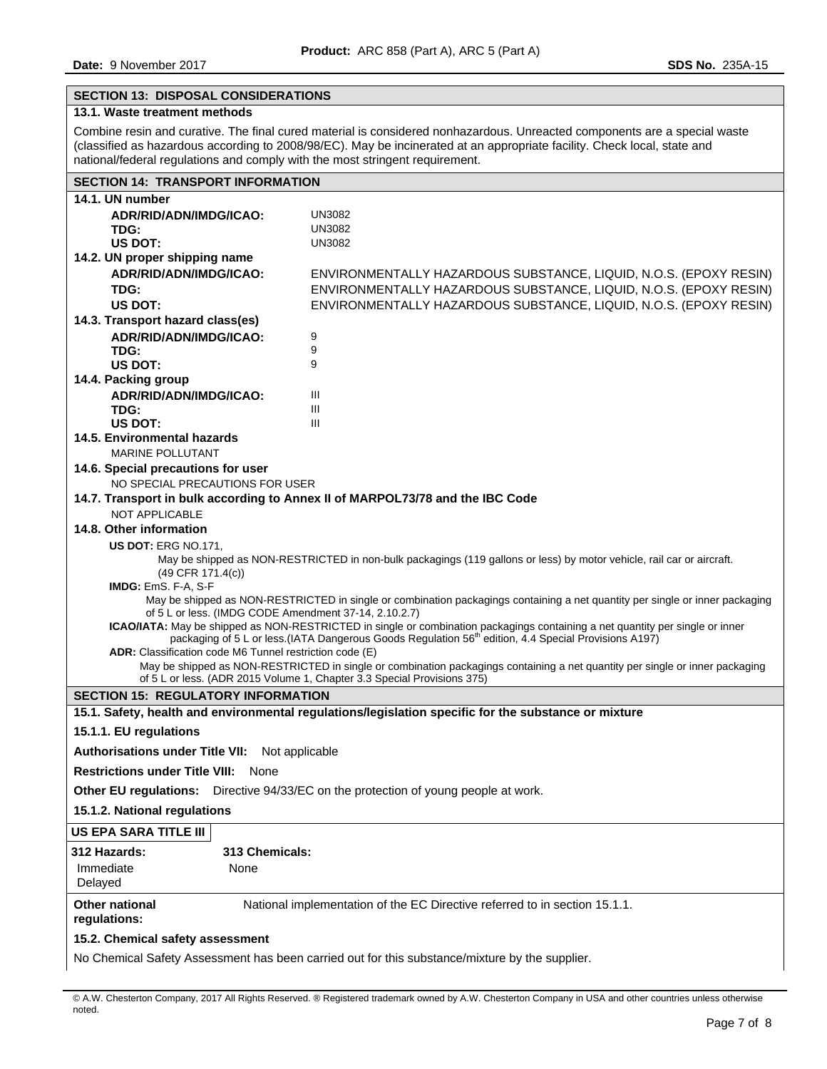# **SECTION 13: DISPOSAL CONSIDERATIONS**

# **13.1. Waste treatment methods**

Combine resin and curative. The final cured material is considered nonhazardous. Unreacted components are a special waste (classified as hazardous according to 2008/98/EC). May be incinerated at an appropriate facility. Check local, state and national/federal regulations and comply with the most stringent requirement.

| <b>SECTION 14: TRANSPORT INFORMATION</b>                                                                                                                                                                                                          |                                                                                                                              |  |  |  |  |  |
|---------------------------------------------------------------------------------------------------------------------------------------------------------------------------------------------------------------------------------------------------|------------------------------------------------------------------------------------------------------------------------------|--|--|--|--|--|
| 14.1. UN number                                                                                                                                                                                                                                   |                                                                                                                              |  |  |  |  |  |
| ADR/RID/ADN/IMDG/ICAO:                                                                                                                                                                                                                            | <b>UN3082</b>                                                                                                                |  |  |  |  |  |
| TDG:                                                                                                                                                                                                                                              | <b>UN3082</b>                                                                                                                |  |  |  |  |  |
| US DOT:                                                                                                                                                                                                                                           | <b>UN3082</b>                                                                                                                |  |  |  |  |  |
| 14.2. UN proper shipping name                                                                                                                                                                                                                     |                                                                                                                              |  |  |  |  |  |
| ADR/RID/ADN/IMDG/ICAO:                                                                                                                                                                                                                            | ENVIRONMENTALLY HAZARDOUS SUBSTANCE, LIQUID, N.O.S. (EPOXY RESIN)                                                            |  |  |  |  |  |
| TDG:                                                                                                                                                                                                                                              | ENVIRONMENTALLY HAZARDOUS SUBSTANCE, LIQUID, N.O.S. (EPOXY RESIN)                                                            |  |  |  |  |  |
| US DOT:                                                                                                                                                                                                                                           | ENVIRONMENTALLY HAZARDOUS SUBSTANCE, LIQUID, N.O.S. (EPOXY RESIN)                                                            |  |  |  |  |  |
| 14.3. Transport hazard class(es)                                                                                                                                                                                                                  |                                                                                                                              |  |  |  |  |  |
| ADR/RID/ADN/IMDG/ICAO:                                                                                                                                                                                                                            | 9                                                                                                                            |  |  |  |  |  |
| TDG:                                                                                                                                                                                                                                              | 9                                                                                                                            |  |  |  |  |  |
| US DOT:                                                                                                                                                                                                                                           | 9                                                                                                                            |  |  |  |  |  |
| 14.4. Packing group                                                                                                                                                                                                                               |                                                                                                                              |  |  |  |  |  |
| ADR/RID/ADN/IMDG/ICAO:                                                                                                                                                                                                                            | Ш                                                                                                                            |  |  |  |  |  |
| TDG:                                                                                                                                                                                                                                              | Ш<br>III                                                                                                                     |  |  |  |  |  |
| US DOT:<br>14.5. Environmental hazards                                                                                                                                                                                                            |                                                                                                                              |  |  |  |  |  |
| <b>MARINE POLLUTANT</b>                                                                                                                                                                                                                           |                                                                                                                              |  |  |  |  |  |
| 14.6. Special precautions for user                                                                                                                                                                                                                |                                                                                                                              |  |  |  |  |  |
| NO SPECIAL PRECAUTIONS FOR USER                                                                                                                                                                                                                   |                                                                                                                              |  |  |  |  |  |
|                                                                                                                                                                                                                                                   | 14.7. Transport in bulk according to Annex II of MARPOL73/78 and the IBC Code                                                |  |  |  |  |  |
| NOT APPLICABLE                                                                                                                                                                                                                                    |                                                                                                                              |  |  |  |  |  |
| 14.8. Other information                                                                                                                                                                                                                           |                                                                                                                              |  |  |  |  |  |
| <b>US DOT: ERG NO.171,</b>                                                                                                                                                                                                                        |                                                                                                                              |  |  |  |  |  |
|                                                                                                                                                                                                                                                   | May be shipped as NON-RESTRICTED in non-bulk packagings (119 gallons or less) by motor vehicle, rail car or aircraft.        |  |  |  |  |  |
| (49 CFR 171.4(c))                                                                                                                                                                                                                                 |                                                                                                                              |  |  |  |  |  |
| IMDG: EmS. F-A, S-F                                                                                                                                                                                                                               |                                                                                                                              |  |  |  |  |  |
| May be shipped as NON-RESTRICTED in single or combination packagings containing a net quantity per single or inner packaging                                                                                                                      |                                                                                                                              |  |  |  |  |  |
| of 5 L or less. (IMDG CODE Amendment 37-14, 2.10.2.7)                                                                                                                                                                                             |                                                                                                                              |  |  |  |  |  |
| ICAO/IATA: May be shipped as NON-RESTRICTED in single or combination packagings containing a net quantity per single or inner<br>packaging of 5 L or less (IATA Dangerous Goods Regulation 56 <sup>th</sup> edition, 4.4 Special Provisions A197) |                                                                                                                              |  |  |  |  |  |
|                                                                                                                                                                                                                                                   | ADR: Classification code M6 Tunnel restriction code (E)                                                                      |  |  |  |  |  |
|                                                                                                                                                                                                                                                   | May be shipped as NON-RESTRICTED in single or combination packagings containing a net quantity per single or inner packaging |  |  |  |  |  |
|                                                                                                                                                                                                                                                   | of 5 L or less. (ADR 2015 Volume 1, Chapter 3.3 Special Provisions 375)                                                      |  |  |  |  |  |
| <b>SECTION 15: REGULATORY INFORMATION</b>                                                                                                                                                                                                         |                                                                                                                              |  |  |  |  |  |
|                                                                                                                                                                                                                                                   | 15.1. Safety, health and environmental regulations/legislation specific for the substance or mixture                         |  |  |  |  |  |
| 15.1.1. EU regulations                                                                                                                                                                                                                            |                                                                                                                              |  |  |  |  |  |
| Authorisations under Title VII: Not applicable                                                                                                                                                                                                    |                                                                                                                              |  |  |  |  |  |
| <b>Restrictions under Title VIII:</b> None                                                                                                                                                                                                        |                                                                                                                              |  |  |  |  |  |
| <b>Other EU regulations:</b>                                                                                                                                                                                                                      | Directive 94/33/EC on the protection of young people at work.                                                                |  |  |  |  |  |
| 15.1.2. National regulations                                                                                                                                                                                                                      |                                                                                                                              |  |  |  |  |  |
| US EPA SARA TITLE III                                                                                                                                                                                                                             |                                                                                                                              |  |  |  |  |  |
| 312 Hazards:<br>313 Chemicals:                                                                                                                                                                                                                    |                                                                                                                              |  |  |  |  |  |
| Immediate<br>None                                                                                                                                                                                                                                 |                                                                                                                              |  |  |  |  |  |
| Delayed                                                                                                                                                                                                                                           |                                                                                                                              |  |  |  |  |  |
| <b>Other national</b>                                                                                                                                                                                                                             | National implementation of the EC Directive referred to in section 15.1.1.                                                   |  |  |  |  |  |
| regulations:                                                                                                                                                                                                                                      |                                                                                                                              |  |  |  |  |  |
| 15.2. Chemical safety assessment                                                                                                                                                                                                                  |                                                                                                                              |  |  |  |  |  |
|                                                                                                                                                                                                                                                   |                                                                                                                              |  |  |  |  |  |
| No Chemical Safety Assessment has been carried out for this substance/mixture by the supplier.                                                                                                                                                    |                                                                                                                              |  |  |  |  |  |

© A.W. Chesterton Company, 2017 All Rights Reserved. ® Registered trademark owned by A.W. Chesterton Company in USA and other countries unless otherwise noted.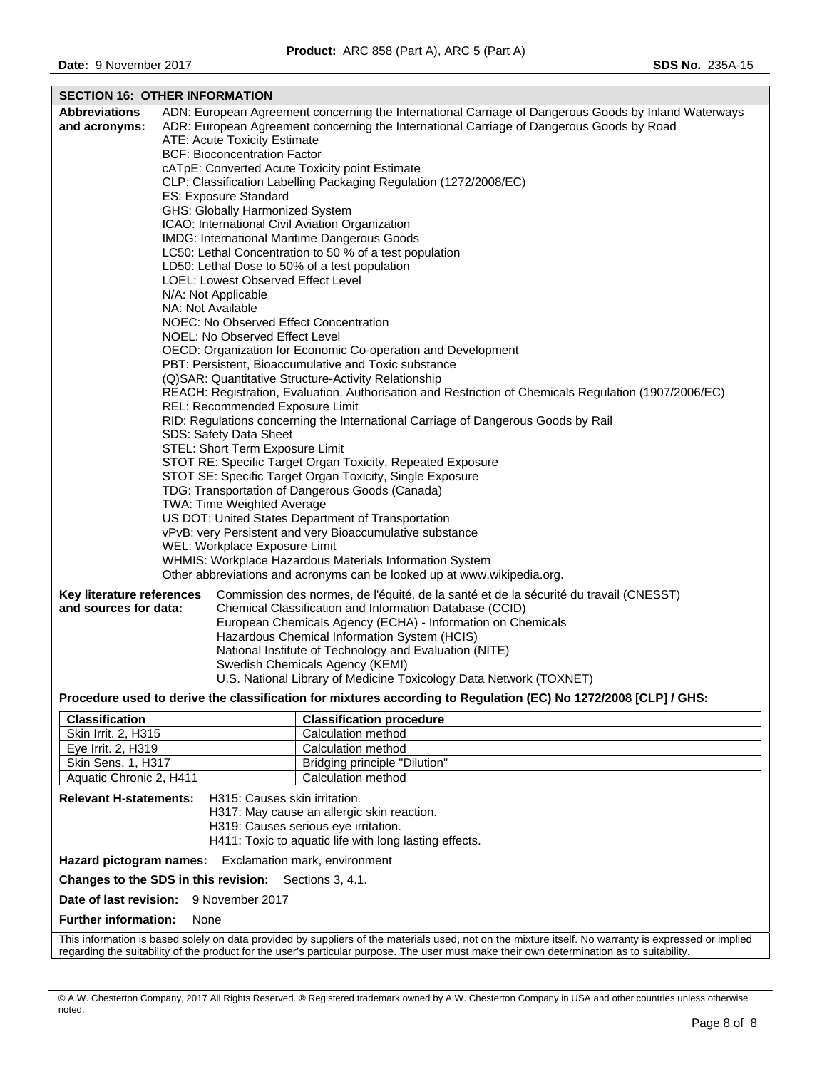| <b>SECTION 16: OTHER INFORMATION</b>                                             |                   |                                                                                                                 |  |  |  |
|----------------------------------------------------------------------------------|-------------------|-----------------------------------------------------------------------------------------------------------------|--|--|--|
| <b>Abbreviations</b>                                                             |                   | ADN: European Agreement concerning the International Carriage of Dangerous Goods by Inland Waterways            |  |  |  |
| and acronyms:                                                                    |                   | ADR: European Agreement concerning the International Carriage of Dangerous Goods by Road                        |  |  |  |
|                                                                                  |                   | ATE: Acute Toxicity Estimate                                                                                    |  |  |  |
|                                                                                  |                   | <b>BCF: Bioconcentration Factor</b>                                                                             |  |  |  |
|                                                                                  |                   | cATpE: Converted Acute Toxicity point Estimate                                                                  |  |  |  |
|                                                                                  |                   | CLP: Classification Labelling Packaging Regulation (1272/2008/EC)<br>ES: Exposure Standard                      |  |  |  |
|                                                                                  |                   | GHS: Globally Harmonized System                                                                                 |  |  |  |
|                                                                                  |                   | ICAO: International Civil Aviation Organization                                                                 |  |  |  |
|                                                                                  |                   | IMDG: International Maritime Dangerous Goods                                                                    |  |  |  |
|                                                                                  |                   | LC50: Lethal Concentration to 50 % of a test population                                                         |  |  |  |
|                                                                                  |                   | LD50: Lethal Dose to 50% of a test population                                                                   |  |  |  |
|                                                                                  |                   | LOEL: Lowest Observed Effect Level                                                                              |  |  |  |
|                                                                                  |                   | N/A: Not Applicable                                                                                             |  |  |  |
|                                                                                  | NA: Not Available |                                                                                                                 |  |  |  |
|                                                                                  |                   | NOEC: No Observed Effect Concentration                                                                          |  |  |  |
|                                                                                  |                   | NOEL: No Observed Effect Level<br>OECD: Organization for Economic Co-operation and Development                  |  |  |  |
|                                                                                  |                   | PBT: Persistent, Bioaccumulative and Toxic substance                                                            |  |  |  |
|                                                                                  |                   | (Q)SAR: Quantitative Structure-Activity Relationship                                                            |  |  |  |
|                                                                                  |                   | REACH: Registration, Evaluation, Authorisation and Restriction of Chemicals Regulation (1907/2006/EC)           |  |  |  |
|                                                                                  |                   | REL: Recommended Exposure Limit                                                                                 |  |  |  |
|                                                                                  |                   | RID: Regulations concerning the International Carriage of Dangerous Goods by Rail                               |  |  |  |
|                                                                                  |                   | SDS: Safety Data Sheet                                                                                          |  |  |  |
|                                                                                  |                   | STEL: Short Term Exposure Limit                                                                                 |  |  |  |
|                                                                                  |                   | STOT RE: Specific Target Organ Toxicity, Repeated Exposure                                                      |  |  |  |
|                                                                                  |                   | STOT SE: Specific Target Organ Toxicity, Single Exposure                                                        |  |  |  |
| TDG: Transportation of Dangerous Goods (Canada)                                  |                   |                                                                                                                 |  |  |  |
| TWA: Time Weighted Average<br>US DOT: United States Department of Transportation |                   |                                                                                                                 |  |  |  |
| vPvB: very Persistent and very Bioaccumulative substance                         |                   |                                                                                                                 |  |  |  |
| WEL: Workplace Exposure Limit                                                    |                   |                                                                                                                 |  |  |  |
| WHMIS: Workplace Hazardous Materials Information System                          |                   |                                                                                                                 |  |  |  |
|                                                                                  |                   | Other abbreviations and acronyms can be looked up at www.wikipedia.org.                                         |  |  |  |
| Key literature references                                                        |                   | Commission des normes, de l'équité, de la santé et de la sécurité du travail (CNESST)                           |  |  |  |
| and sources for data:                                                            |                   | Chemical Classification and Information Database (CCID)                                                         |  |  |  |
|                                                                                  |                   | European Chemicals Agency (ECHA) - Information on Chemicals                                                     |  |  |  |
|                                                                                  |                   | Hazardous Chemical Information System (HCIS)                                                                    |  |  |  |
|                                                                                  |                   | National Institute of Technology and Evaluation (NITE)                                                          |  |  |  |
|                                                                                  |                   | Swedish Chemicals Agency (KEMI)                                                                                 |  |  |  |
|                                                                                  |                   | U.S. National Library of Medicine Toxicology Data Network (TOXNET)                                              |  |  |  |
|                                                                                  |                   | Procedure used to derive the classification for mixtures according to Regulation (EC) No 1272/2008 [CLP] / GHS: |  |  |  |
| Classification                                                                   |                   | <b>Classification procedure</b>                                                                                 |  |  |  |
| <b>Skin Irrit. 2, H315</b>                                                       |                   | Calculation method                                                                                              |  |  |  |
| Eye Irrit. 2, H319                                                               |                   | Calculation method                                                                                              |  |  |  |
| Skin Sens. 1, H317                                                               |                   | Bridging principle "Dilution"                                                                                   |  |  |  |
| Aquatic Chronic 2, H411                                                          |                   | Calculation method                                                                                              |  |  |  |
| <b>Relevant H-statements:</b>                                                    |                   | H315: Causes skin irritation.                                                                                   |  |  |  |
|                                                                                  |                   | H317: May cause an allergic skin reaction.                                                                      |  |  |  |
|                                                                                  |                   | H319: Causes serious eye irritation.                                                                            |  |  |  |
|                                                                                  |                   | H411: Toxic to aquatic life with long lasting effects.                                                          |  |  |  |

**Hazard pictogram names:** Exclamation mark, environment

**Changes to the SDS in this revision:** Sections 3, 4.1.

**Date of last revision:** 9 November 2017

**Further information:** None

This information is based solely on data provided by suppliers of the materials used, not on the mixture itself. No warranty is expressed or implied regarding the suitability of the product for the user's particular purpose. The user must make their own determination as to suitability.

<sup>©</sup> A.W. Chesterton Company, 2017 All Rights Reserved. ® Registered trademark owned by A.W. Chesterton Company in USA and other countries unless otherwise noted.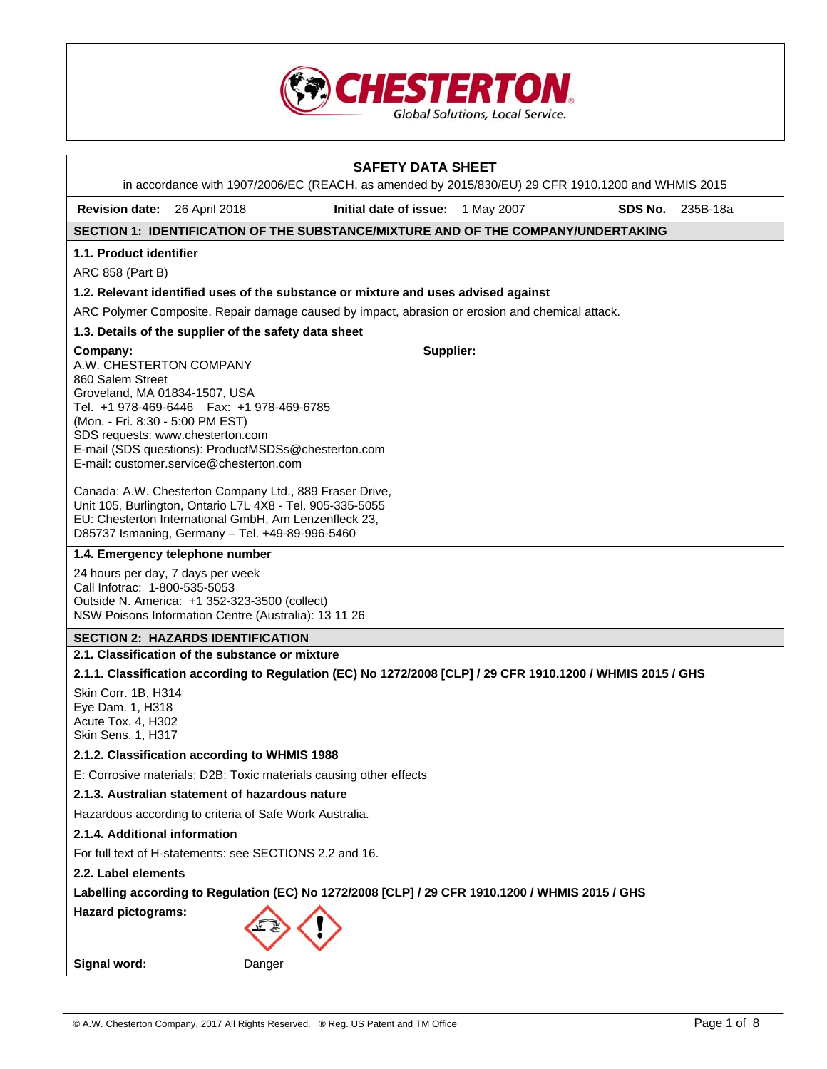

|                                                                                                                              |                                                                                                                                                                                                                                  | <b>SAFETY DATA SHEET</b><br>in accordance with 1907/2006/EC (REACH, as amended by 2015/830/EU) 29 CFR 1910.1200 and WHMIS 2015 |  |         |          |
|------------------------------------------------------------------------------------------------------------------------------|----------------------------------------------------------------------------------------------------------------------------------------------------------------------------------------------------------------------------------|--------------------------------------------------------------------------------------------------------------------------------|--|---------|----------|
| <b>Revision date:</b>                                                                                                        | 26 April 2018                                                                                                                                                                                                                    | Initial date of issue: 1 May 2007                                                                                              |  | SDS No. | 235B-18a |
|                                                                                                                              |                                                                                                                                                                                                                                  | SECTION 1: IDENTIFICATION OF THE SUBSTANCE/MIXTURE AND OF THE COMPANY/UNDERTAKING                                              |  |         |          |
| 1.1. Product identifier                                                                                                      |                                                                                                                                                                                                                                  |                                                                                                                                |  |         |          |
| ARC 858 (Part B)                                                                                                             |                                                                                                                                                                                                                                  |                                                                                                                                |  |         |          |
|                                                                                                                              |                                                                                                                                                                                                                                  | 1.2. Relevant identified uses of the substance or mixture and uses advised against                                             |  |         |          |
|                                                                                                                              |                                                                                                                                                                                                                                  | ARC Polymer Composite. Repair damage caused by impact, abrasion or erosion and chemical attack.                                |  |         |          |
|                                                                                                                              | 1.3. Details of the supplier of the safety data sheet                                                                                                                                                                            |                                                                                                                                |  |         |          |
| Company:<br>A.W. CHESTERTON COMPANY<br>860 Salem Street<br>Groveland, MA 01834-1507, USA<br>(Mon. - Fri. 8:30 - 5:00 PM EST) | Tel. +1 978-469-6446   Fax: +1 978-469-6785<br>SDS requests: www.chesterton.com<br>E-mail (SDS questions): ProductMSDSs@chesterton.com<br>E-mail: customer.service@chesterton.com                                                | Supplier:                                                                                                                      |  |         |          |
|                                                                                                                              | Canada: A.W. Chesterton Company Ltd., 889 Fraser Drive,<br>Unit 105, Burlington, Ontario L7L 4X8 - Tel. 905-335-5055<br>EU: Chesterton International GmbH, Am Lenzenfleck 23,<br>D85737 Ismaning, Germany - Tel. +49-89-996-5460 |                                                                                                                                |  |         |          |
|                                                                                                                              | 1.4. Emergency telephone number                                                                                                                                                                                                  |                                                                                                                                |  |         |          |
| Call Infotrac: 1-800-535-5053                                                                                                | 24 hours per day, 7 days per week<br>Outside N. America: +1 352-323-3500 (collect)<br>NSW Poisons Information Centre (Australia): 13 11 26                                                                                       |                                                                                                                                |  |         |          |
|                                                                                                                              | <b>SECTION 2: HAZARDS IDENTIFICATION</b>                                                                                                                                                                                         |                                                                                                                                |  |         |          |
|                                                                                                                              | 2.1. Classification of the substance or mixture                                                                                                                                                                                  |                                                                                                                                |  |         |          |
|                                                                                                                              |                                                                                                                                                                                                                                  | 2.1.1. Classification according to Regulation (EC) No 1272/2008 [CLP] / 29 CFR 1910.1200 / WHMIS 2015 / GHS                    |  |         |          |
| Skin Corr. 1B, H314<br>Eye Dam. 1, H318<br>Acute Tox. 4, H302<br>Skin Sens. 1, H317                                          |                                                                                                                                                                                                                                  |                                                                                                                                |  |         |          |
|                                                                                                                              | 2.1.2. Classification according to WHMIS 1988                                                                                                                                                                                    |                                                                                                                                |  |         |          |
|                                                                                                                              | E: Corrosive materials; D2B: Toxic materials causing other effects                                                                                                                                                               |                                                                                                                                |  |         |          |
|                                                                                                                              | 2.1.3. Australian statement of hazardous nature                                                                                                                                                                                  |                                                                                                                                |  |         |          |
| Hazardous according to criteria of Safe Work Australia.                                                                      |                                                                                                                                                                                                                                  |                                                                                                                                |  |         |          |
| 2.1.4. Additional information                                                                                                |                                                                                                                                                                                                                                  |                                                                                                                                |  |         |          |
| For full text of H-statements: see SECTIONS 2.2 and 16.                                                                      |                                                                                                                                                                                                                                  |                                                                                                                                |  |         |          |
| 2.2. Label elements                                                                                                          |                                                                                                                                                                                                                                  |                                                                                                                                |  |         |          |
| Labelling according to Regulation (EC) No 1272/2008 [CLP] / 29 CFR 1910.1200 / WHMIS 2015 / GHS                              |                                                                                                                                                                                                                                  |                                                                                                                                |  |         |          |
| <b>Hazard pictograms:</b>                                                                                                    |                                                                                                                                                                                                                                  |                                                                                                                                |  |         |          |
| Signal word:                                                                                                                 | Danger                                                                                                                                                                                                                           |                                                                                                                                |  |         |          |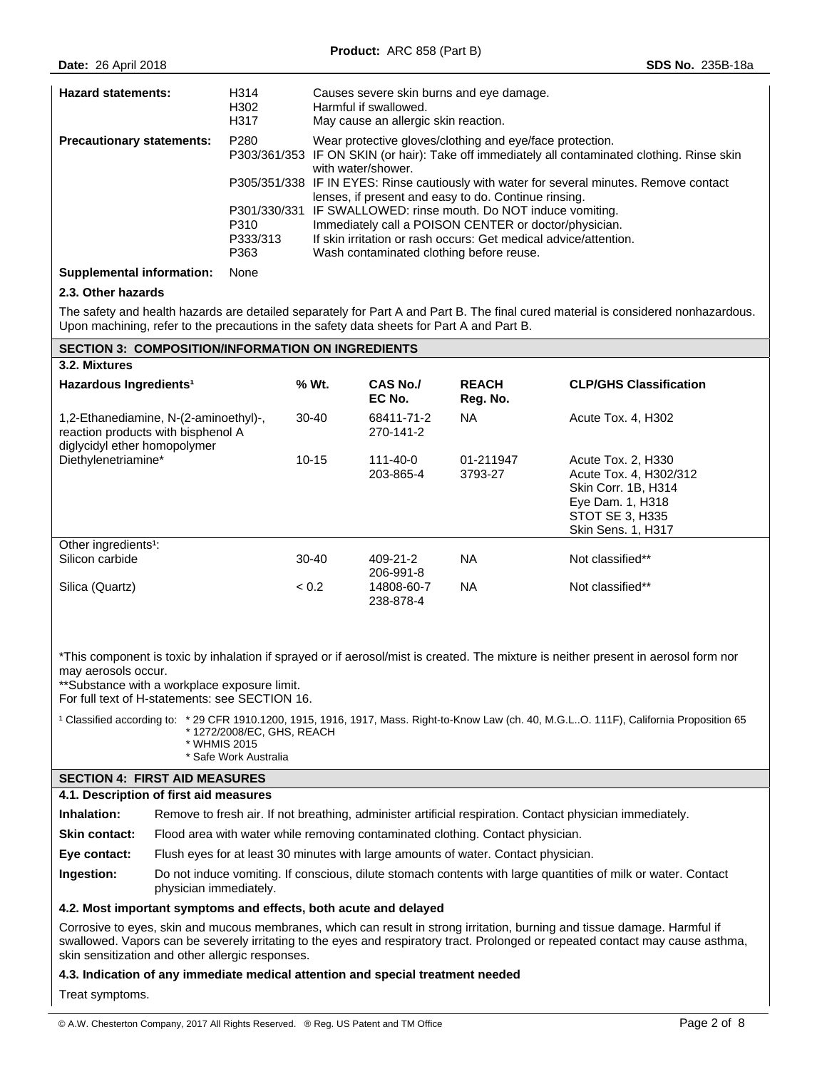| <b>Hazard statements:</b>        | H314<br>H302<br>H317             | Causes severe skin burns and eye damage.<br>Harmful if swallowed.<br>May cause an allergic skin reaction.                                                                                                                                                                                                                                                                                                                                                                                                                                                                       |
|----------------------------------|----------------------------------|---------------------------------------------------------------------------------------------------------------------------------------------------------------------------------------------------------------------------------------------------------------------------------------------------------------------------------------------------------------------------------------------------------------------------------------------------------------------------------------------------------------------------------------------------------------------------------|
| <b>Precautionary statements:</b> | P280<br>P310<br>P333/313<br>P363 | Wear protective gloves/clothing and eye/face protection.<br>P303/361/353 IF ON SKIN (or hair): Take off immediately all contaminated clothing. Rinse skin<br>with water/shower.<br>P305/351/338 IF IN EYES: Rinse cautiously with water for several minutes. Remove contact<br>lenses, if present and easy to do. Continue rinsing.<br>P301/330/331 IF SWALLOWED: rinse mouth. Do NOT induce vomiting.<br>Immediately call a POISON CENTER or doctor/physician.<br>If skin irritation or rash occurs: Get medical advice/attention.<br>Wash contaminated clothing before reuse. |

## **Supplemental information:** None

## **2.3. Other hazards**

The safety and health hazards are detailed separately for Part A and Part B. The final cured material is considered nonhazardous. Upon machining, refer to the precautions in the safety data sheets for Part A and Part B.

## **SECTION 3: COMPOSITION/INFORMATION ON INGREDIENTS**

| 3.2. Mixtures                                                                                               |            |                           |                          |                                                                                                                                                |
|-------------------------------------------------------------------------------------------------------------|------------|---------------------------|--------------------------|------------------------------------------------------------------------------------------------------------------------------------------------|
| Hazardous Ingredients <sup>1</sup>                                                                          | % Wt.      | <b>CAS No./</b><br>EC No. | <b>REACH</b><br>Reg. No. | <b>CLP/GHS Classification</b>                                                                                                                  |
| 1,2-Ethanediamine, N-(2-aminoethyl)-,<br>reaction products with bisphenol A<br>diglycidyl ether homopolymer | $30 - 40$  | 68411-71-2<br>270-141-2   | NA.                      | Acute Tox. 4. H302                                                                                                                             |
| Diethylenetriamine*                                                                                         | 10-15      | 111-40-0<br>203-865-4     | 01-211947<br>3793-27     | Acute Tox. 2. H330<br>Acute Tox. 4, H302/312<br><b>Skin Corr. 1B. H314</b><br>Eye Dam. 1, H318<br>STOT SE 3, H335<br><b>Skin Sens. 1, H317</b> |
| Other ingredients <sup>1</sup> :                                                                            |            |                           |                          |                                                                                                                                                |
| Silicon carbide                                                                                             | 30-40      | 409-21-2<br>206-991-8     | NA.                      | Not classified**                                                                                                                               |
| Silica (Quartz)                                                                                             | ${}_{0.2}$ | 14808-60-7<br>238-878-4   | NA.                      | Not classified**                                                                                                                               |

\*This component is toxic by inhalation if sprayed or if aerosol/mist is created. The mixture is neither present in aerosol form nor may aerosols occur.

\*\*Substance with a workplace exposure limit.

For full text of H-statements: see SECTION 16.

<sup>1</sup> Classified according to: \* 29 CFR 1910.1200, 1915, 1916, 1917, Mass. Right-to-Know Law (ch. 40, M.G.L..O. 111F), California Proposition 65 \* 1272/2008/EC, GHS, REACH \* WHMIS 2015 \* Safe Work Australia

# **SECTION 4: FIRST AID MEASURES**

## **4.1. Description of first aid measures**

| Inhalation:          | Remove to fresh air. If not breathing, administer artificial respiration. Contact physician immediately.                                |
|----------------------|-----------------------------------------------------------------------------------------------------------------------------------------|
| <b>Skin contact:</b> | Flood area with water while removing contaminated clothing. Contact physician.                                                          |
| Eye contact:         | Flush eyes for at least 30 minutes with large amounts of water. Contact physician.                                                      |
| Ingestion:           | Do not induce vomiting. If conscious, dilute stomach contents with large quantities of milk or water. Contact<br>physician immediately. |
|                      |                                                                                                                                         |

#### **4.2. Most important symptoms and effects, both acute and delayed**

Corrosive to eyes, skin and mucous membranes, which can result in strong irritation, burning and tissue damage. Harmful if swallowed. Vapors can be severely irritating to the eyes and respiratory tract. Prolonged or repeated contact may cause asthma, skin sensitization and other allergic responses.

## **4.3. Indication of any immediate medical attention and special treatment needed**

Treat symptoms.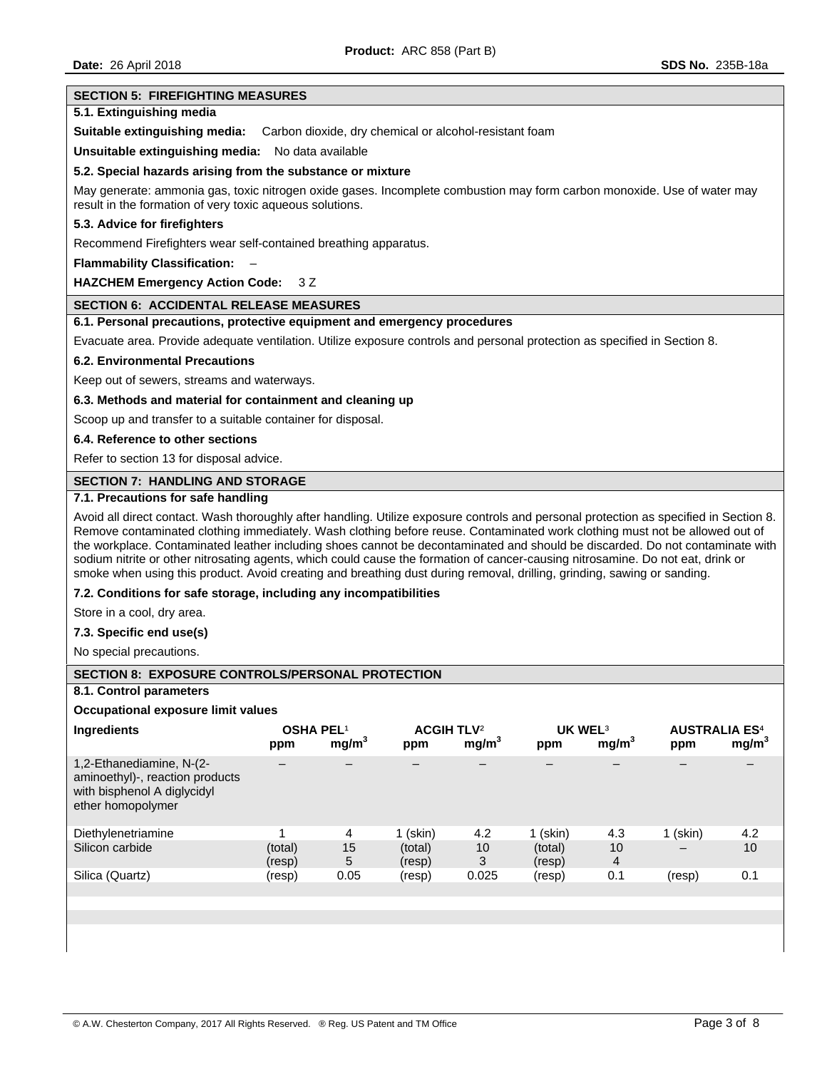#### **SECTION 5: FIREFIGHTING MEASURES**

## **5.1. Extinguishing media**

**Suitable extinguishing media:** Carbon dioxide, dry chemical or alcohol-resistant foam

**Unsuitable extinguishing media:** No data available

#### **5.2. Special hazards arising from the substance or mixture**

May generate: ammonia gas, toxic nitrogen oxide gases. Incomplete combustion may form carbon monoxide. Use of water may result in the formation of very toxic aqueous solutions.

## **5.3. Advice for firefighters**

Recommend Firefighters wear self-contained breathing apparatus.

**Flammability Classification:** –

## **HAZCHEM Emergency Action Code:** 3 Z

## **SECTION 6: ACCIDENTAL RELEASE MEASURES**

## **6.1. Personal precautions, protective equipment and emergency procedures**

Evacuate area. Provide adequate ventilation. Utilize exposure controls and personal protection as specified in Section 8.

#### **6.2. Environmental Precautions**

Keep out of sewers, streams and waterways.

#### **6.3. Methods and material for containment and cleaning up**

Scoop up and transfer to a suitable container for disposal.

#### **6.4. Reference to other sections**

Refer to section 13 for disposal advice.

#### **SECTION 7: HANDLING AND STORAGE**

#### **7.1. Precautions for safe handling**

Avoid all direct contact. Wash thoroughly after handling. Utilize exposure controls and personal protection as specified in Section 8. Remove contaminated clothing immediately. Wash clothing before reuse. Contaminated work clothing must not be allowed out of the workplace. Contaminated leather including shoes cannot be decontaminated and should be discarded. Do not contaminate with sodium nitrite or other nitrosating agents, which could cause the formation of cancer-causing nitrosamine. Do not eat, drink or smoke when using this product. Avoid creating and breathing dust during removal, drilling, grinding, sawing or sanding.

## **7.2. Conditions for safe storage, including any incompatibilities**

Store in a cool, dry area.

## **7.3. Specific end use(s)**

No special precautions.

#### **SECTION 8: EXPOSURE CONTROLS/PERSONAL PROTECTION**

## **8.1. Control parameters**

**Occupational exposure limit values** 

| <b>Ingredients</b>                                                                                              | <b>OSHA PEL1</b><br>ppm | mg/m <sup>3</sup> | <b>ACGIH TLV<sup>2</sup></b><br>ppm | mg/m <sup>3</sup> | UK WEL <sup>3</sup><br>ppm | mg/m <sup>3</sup> | <b>AUSTRALIA ES<sup>4</sup></b><br>ppm | mg/m <sup>3</sup> |
|-----------------------------------------------------------------------------------------------------------------|-------------------------|-------------------|-------------------------------------|-------------------|----------------------------|-------------------|----------------------------------------|-------------------|
| 1,2-Ethanediamine, N-(2-<br>aminoethyl)-, reaction products<br>with bisphenol A diglycidyl<br>ether homopolymer |                         |                   |                                     |                   |                            |                   |                                        |                   |
| Diethylenetriamine                                                                                              |                         | 4                 | $1$ (skin)                          | 4.2               | $1$ (skin)                 | 4.3               | 1 (skin)                               | 4.2               |
| Silicon carbide                                                                                                 | (total)<br>(resp)       | 15<br>5           | (total)<br>(resp)                   | 10<br>3           | (total)<br>(resp)          | 10<br>4           | $\overline{\phantom{m}}$               | 10                |
| Silica (Quartz)                                                                                                 | (resp)                  | 0.05              | (resp)                              | 0.025             | (resp)                     | 0.1               | (resp)                                 | 0.1               |
|                                                                                                                 |                         |                   |                                     |                   |                            |                   |                                        |                   |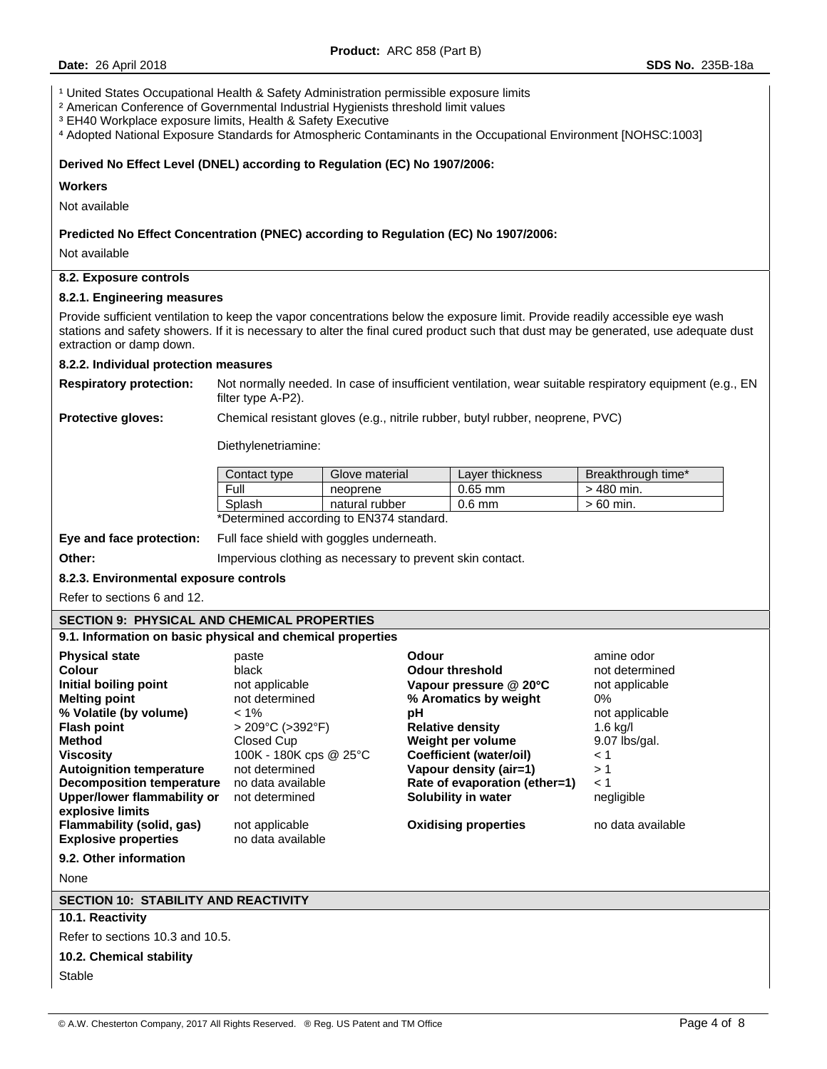<sup>1</sup> United States Occupational Health & Safety Administration permissible exposure limits

² American Conference of Governmental Industrial Hygienists threshold limit values

³ EH40 Workplace exposure limits, Health & Safety Executive

⁴ Adopted National Exposure Standards for Atmospheric Contaminants in the Occupational Environment [NOHSC:1003]

#### **Derived No Effect Level (DNEL) according to Regulation (EC) No 1907/2006:**

#### **Workers**

Not available

## **Predicted No Effect Concentration (PNEC) according to Regulation (EC) No 1907/2006:**

Not available

## **8.2. Exposure controls**

#### **8.2.1. Engineering measures**

Provide sufficient ventilation to keep the vapor concentrations below the exposure limit. Provide readily accessible eye wash stations and safety showers. If it is necessary to alter the final cured product such that dust may be generated, use adequate dust extraction or damp down.

## **8.2.2. Individual protection measures**

**Respiratory protection:** Not normally needed. In case of insufficient ventilation, wear suitable respiratory equipment (e.g., EN filter type A-P2).

**Protective gloves:** Chemical resistant gloves (e.g., nitrile rubber, butyl rubber, neoprene, PVC)

Diethylenetriamine:

| Contact type | Glove material                      | Layer thickness | Breakthrough time* |
|--------------|-------------------------------------|-----------------|--------------------|
| Full         | neoprene                            | $0.65$ mm       | $>$ 480 min.       |
| Splash       | natural rubber                      | $0.6$ mm        | $>60$ min.         |
|              | $\cdots$ $\cdots$ $\cdots$ $\cdots$ |                 |                    |

\*Determined according to EN374 standard.

**Eye and face protection:** Full face shield with goggles underneath.

**Other: Impervious clothing as necessary to prevent skin contact.** 

#### **8.2.3. Environmental exposure controls**

Refer to sections 6 and 12.

## **SECTION 9: PHYSICAL AND CHEMICAL PROPERTIES**

**9.1. Information on basic physical and chemical properties** 

| <b>Physical state</b><br>Colour<br>Initial boiling point<br><b>Melting point</b><br>% Volatile (by volume)<br><b>Flash point</b><br><b>Method</b><br><b>Viscosity</b><br><b>Autoignition temperature</b><br><b>Decomposition temperature</b><br><b>Upper/lower flammability or</b><br>explosive limits<br>Flammability (solid, gas) | paste<br>black<br>not applicable<br>not determined<br>$< 1\%$<br>$>$ 209°C ( $>$ 392°F)<br>Closed Cup<br>100K - 180K cps @ 25°C<br>not determined<br>no data available<br>not determined<br>not applicable | Odour<br><b>Odour threshold</b><br>Vapour pressure $@$ 20 $°C$<br>% Aromatics by weight<br>рH<br><b>Relative density</b><br>Weight per volume<br>Coefficient (water/oil)<br>Vapour density (air=1)<br>Rate of evaporation (ether=1)<br>Solubility in water<br><b>Oxidising properties</b> | amine odor<br>not determined<br>not applicable<br>0%<br>not applicable<br>$1.6$ kg/l<br>9.07 lbs/gal.<br>$\leq 1$<br>>1<br>$\leq 1$<br>negligible<br>no data available |
|-------------------------------------------------------------------------------------------------------------------------------------------------------------------------------------------------------------------------------------------------------------------------------------------------------------------------------------|------------------------------------------------------------------------------------------------------------------------------------------------------------------------------------------------------------|-------------------------------------------------------------------------------------------------------------------------------------------------------------------------------------------------------------------------------------------------------------------------------------------|------------------------------------------------------------------------------------------------------------------------------------------------------------------------|
| <b>Explosive properties</b><br>9.2. Other information                                                                                                                                                                                                                                                                               | no data available                                                                                                                                                                                          |                                                                                                                                                                                                                                                                                           |                                                                                                                                                                        |
| None                                                                                                                                                                                                                                                                                                                                |                                                                                                                                                                                                            |                                                                                                                                                                                                                                                                                           |                                                                                                                                                                        |

## **SECTION 10: STABILITY AND REACTIVITY**

# **10.1. Reactivity**

Refer to sections 10.3 and 10.5.

**10.2. Chemical stability** 

Stable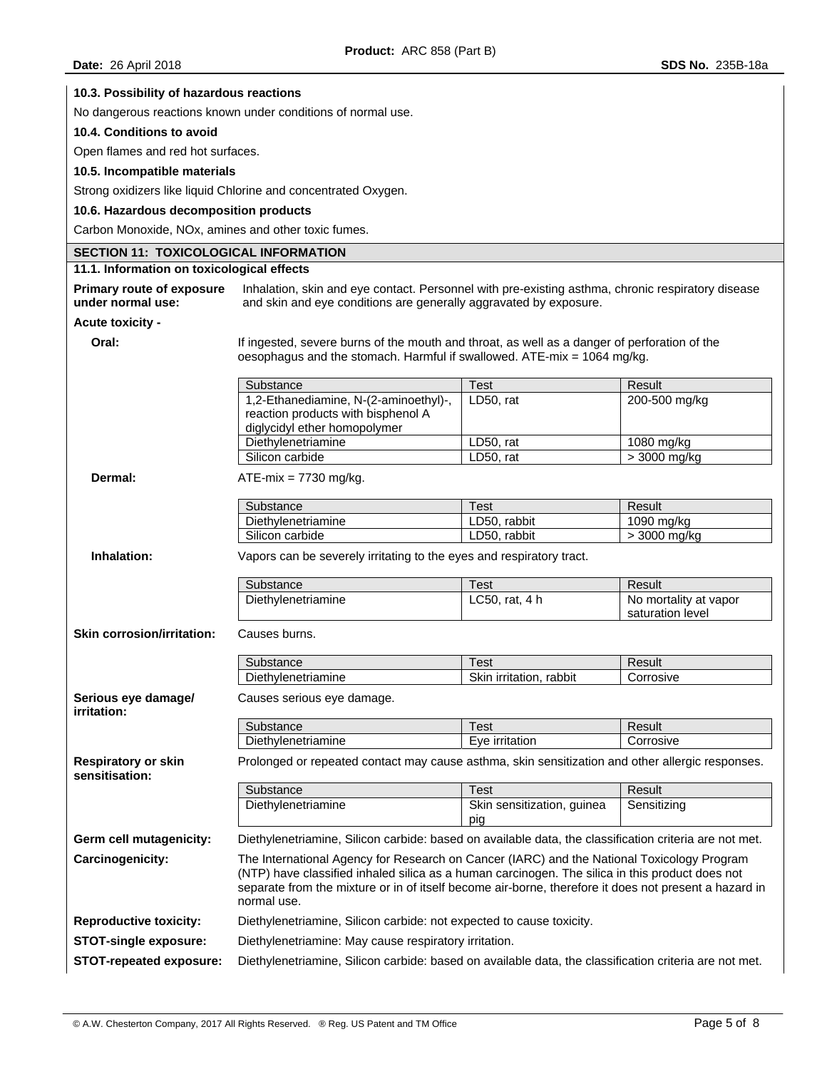| 10.3. Possibility of hazardous reactions            |                                                                                                                                                                                                                                                                                                                       |                                   |                                           |  |  |
|-----------------------------------------------------|-----------------------------------------------------------------------------------------------------------------------------------------------------------------------------------------------------------------------------------------------------------------------------------------------------------------------|-----------------------------------|-------------------------------------------|--|--|
|                                                     | No dangerous reactions known under conditions of normal use.                                                                                                                                                                                                                                                          |                                   |                                           |  |  |
| 10.4. Conditions to avoid                           |                                                                                                                                                                                                                                                                                                                       |                                   |                                           |  |  |
| Open flames and red hot surfaces.                   |                                                                                                                                                                                                                                                                                                                       |                                   |                                           |  |  |
| 10.5. Incompatible materials                        |                                                                                                                                                                                                                                                                                                                       |                                   |                                           |  |  |
|                                                     | Strong oxidizers like liquid Chlorine and concentrated Oxygen.                                                                                                                                                                                                                                                        |                                   |                                           |  |  |
| 10.6. Hazardous decomposition products              |                                                                                                                                                                                                                                                                                                                       |                                   |                                           |  |  |
| Carbon Monoxide, NOx, amines and other toxic fumes. |                                                                                                                                                                                                                                                                                                                       |                                   |                                           |  |  |
| <b>SECTION 11: TOXICOLOGICAL INFORMATION</b>        |                                                                                                                                                                                                                                                                                                                       |                                   |                                           |  |  |
| 11.1. Information on toxicological effects          |                                                                                                                                                                                                                                                                                                                       |                                   |                                           |  |  |
| <b>Primary route of exposure</b>                    | Inhalation, skin and eye contact. Personnel with pre-existing asthma, chronic respiratory disease                                                                                                                                                                                                                     |                                   |                                           |  |  |
| under normal use:                                   | and skin and eye conditions are generally aggravated by exposure.                                                                                                                                                                                                                                                     |                                   |                                           |  |  |
| <b>Acute toxicity -</b>                             |                                                                                                                                                                                                                                                                                                                       |                                   |                                           |  |  |
| Oral:                                               | If ingested, severe burns of the mouth and throat, as well as a danger of perforation of the<br>oesophagus and the stomach. Harmful if swallowed. ATE-mix = 1064 mg/kg.                                                                                                                                               |                                   |                                           |  |  |
|                                                     | Substance                                                                                                                                                                                                                                                                                                             | <b>Test</b>                       | Result                                    |  |  |
|                                                     | 1,2-Ethanediamine, N-(2-aminoethyl)-,<br>reaction products with bisphenol A<br>diglycidyl ether homopolymer                                                                                                                                                                                                           | LD50, rat                         | 200-500 mg/kg                             |  |  |
|                                                     | Diethylenetriamine                                                                                                                                                                                                                                                                                                    | LD50, rat                         | 1080 mg/kg                                |  |  |
|                                                     | Silicon carbide                                                                                                                                                                                                                                                                                                       | LD50, rat                         | > 3000 mg/kg                              |  |  |
| Dermal:                                             | $ATE-mix = 7730$ mg/kg.                                                                                                                                                                                                                                                                                               |                                   |                                           |  |  |
|                                                     | Substance                                                                                                                                                                                                                                                                                                             | <b>Test</b>                       | Result                                    |  |  |
|                                                     | Diethylenetriamine                                                                                                                                                                                                                                                                                                    | LD50, rabbit                      | 1090 mg/kg                                |  |  |
| Inhalation:                                         | Silicon carbide<br>Vapors can be severely irritating to the eyes and respiratory tract.                                                                                                                                                                                                                               | LD50, rabbit                      | > 3000 mg/kg                              |  |  |
|                                                     | Substance                                                                                                                                                                                                                                                                                                             | <b>Test</b>                       | Result                                    |  |  |
|                                                     | Diethylenetriamine                                                                                                                                                                                                                                                                                                    | LC50, rat, 4 h                    | No mortality at vapor<br>saturation level |  |  |
| <b>Skin corrosion/irritation:</b>                   | Causes burns.                                                                                                                                                                                                                                                                                                         |                                   |                                           |  |  |
|                                                     | Substance                                                                                                                                                                                                                                                                                                             | Test                              | Result                                    |  |  |
|                                                     | Diethylenetriamine                                                                                                                                                                                                                                                                                                    | Skin irritation, rabbit           | Corrosive                                 |  |  |
| Serious eye damage/<br>irritation:                  | Causes serious eye damage.                                                                                                                                                                                                                                                                                            |                                   |                                           |  |  |
|                                                     | Substance                                                                                                                                                                                                                                                                                                             | <b>Test</b>                       | Result                                    |  |  |
|                                                     | Diethylenetriamine                                                                                                                                                                                                                                                                                                    | Eye irritation                    | Corrosive                                 |  |  |
| <b>Respiratory or skin</b><br>sensitisation:        | Prolonged or repeated contact may cause asthma, skin sensitization and other allergic responses.                                                                                                                                                                                                                      |                                   |                                           |  |  |
|                                                     | Substance                                                                                                                                                                                                                                                                                                             | <b>Test</b>                       | Result                                    |  |  |
|                                                     | Diethylenetriamine                                                                                                                                                                                                                                                                                                    | Skin sensitization, guinea<br>pig | Sensitizing                               |  |  |
| Germ cell mutagenicity:                             | Diethylenetriamine, Silicon carbide: based on available data, the classification criteria are not met.                                                                                                                                                                                                                |                                   |                                           |  |  |
| Carcinogenicity:                                    | The International Agency for Research on Cancer (IARC) and the National Toxicology Program<br>(NTP) have classified inhaled silica as a human carcinogen. The silica in this product does not<br>separate from the mixture or in of itself become air-borne, therefore it does not present a hazard in<br>normal use. |                                   |                                           |  |  |
| <b>Reproductive toxicity:</b>                       | Diethylenetriamine, Silicon carbide: not expected to cause toxicity.                                                                                                                                                                                                                                                  |                                   |                                           |  |  |
| <b>STOT-single exposure:</b>                        | Diethylenetriamine: May cause respiratory irritation.                                                                                                                                                                                                                                                                 |                                   |                                           |  |  |
| STOT-repeated exposure:                             | Diethylenetriamine, Silicon carbide: based on available data, the classification criteria are not met.                                                                                                                                                                                                                |                                   |                                           |  |  |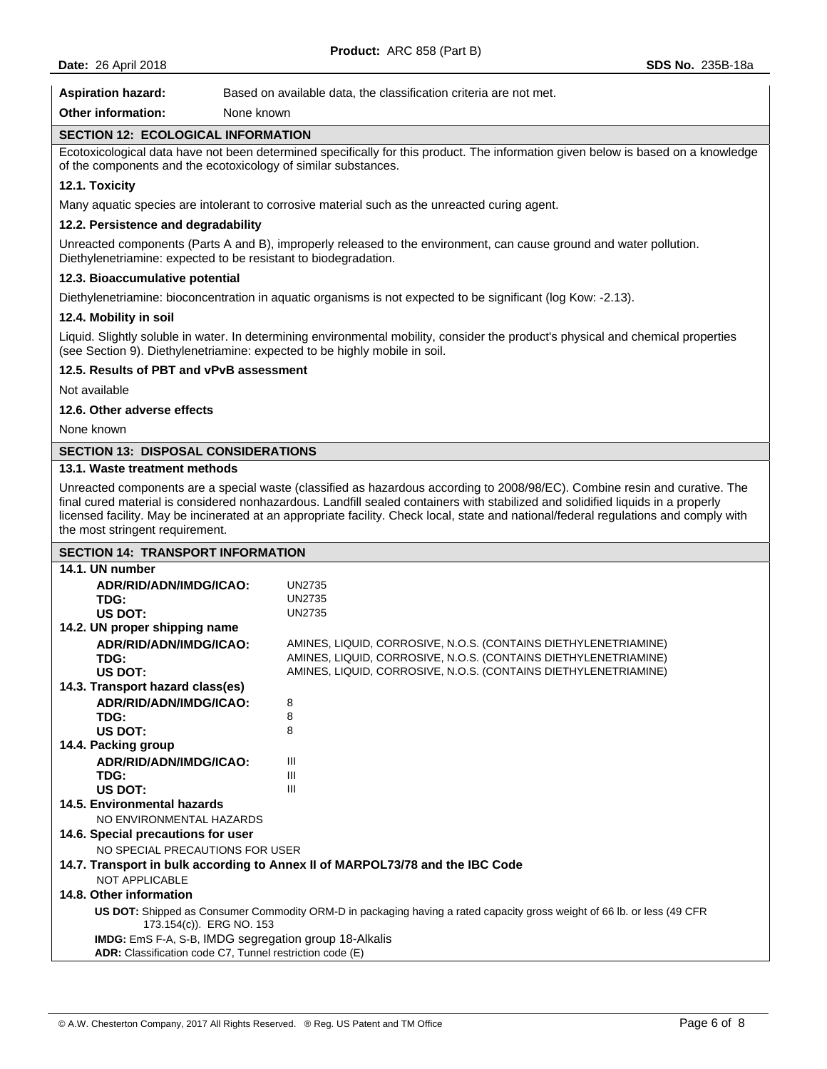Aspiration hazard: Based on available data, the classification criteria are not met.

| <b>Other information:</b><br>None known                                    |                                                                                                                                                                                                                                                                                                                                                                                                          |
|----------------------------------------------------------------------------|----------------------------------------------------------------------------------------------------------------------------------------------------------------------------------------------------------------------------------------------------------------------------------------------------------------------------------------------------------------------------------------------------------|
| <b>SECTION 12: ECOLOGICAL INFORMATION</b>                                  |                                                                                                                                                                                                                                                                                                                                                                                                          |
| of the components and the ecotoxicology of similar substances.             | Ecotoxicological data have not been determined specifically for this product. The information given below is based on a knowledge                                                                                                                                                                                                                                                                        |
| 12.1. Toxicity                                                             |                                                                                                                                                                                                                                                                                                                                                                                                          |
|                                                                            | Many aquatic species are intolerant to corrosive material such as the unreacted curing agent.                                                                                                                                                                                                                                                                                                            |
| 12.2. Persistence and degradability                                        |                                                                                                                                                                                                                                                                                                                                                                                                          |
| Diethylenetriamine: expected to be resistant to biodegradation.            | Unreacted components (Parts A and B), improperly released to the environment, can cause ground and water pollution.                                                                                                                                                                                                                                                                                      |
| 12.3. Bioaccumulative potential                                            |                                                                                                                                                                                                                                                                                                                                                                                                          |
|                                                                            | Diethylenetriamine: bioconcentration in aquatic organisms is not expected to be significant (log Kow: -2.13).                                                                                                                                                                                                                                                                                            |
| 12.4. Mobility in soil                                                     |                                                                                                                                                                                                                                                                                                                                                                                                          |
| (see Section 9). Diethylenetriamine: expected to be highly mobile in soil. | Liquid. Slightly soluble in water. In determining environmental mobility, consider the product's physical and chemical properties                                                                                                                                                                                                                                                                        |
| 12.5. Results of PBT and vPvB assessment                                   |                                                                                                                                                                                                                                                                                                                                                                                                          |
| Not available                                                              |                                                                                                                                                                                                                                                                                                                                                                                                          |
| 12.6. Other adverse effects                                                |                                                                                                                                                                                                                                                                                                                                                                                                          |
| None known                                                                 |                                                                                                                                                                                                                                                                                                                                                                                                          |
| <b>SECTION 13: DISPOSAL CONSIDERATIONS</b>                                 |                                                                                                                                                                                                                                                                                                                                                                                                          |
| 13.1. Waste treatment methods                                              |                                                                                                                                                                                                                                                                                                                                                                                                          |
| the most stringent requirement.                                            | Unreacted components are a special waste (classified as hazardous according to 2008/98/EC). Combine resin and curative. The<br>final cured material is considered nonhazardous. Landfill sealed containers with stabilized and solidified liquids in a properly<br>licensed facility. May be incinerated at an appropriate facility. Check local, state and national/federal regulations and comply with |
| <b>SECTION 14: TRANSPORT INFORMATION</b>                                   |                                                                                                                                                                                                                                                                                                                                                                                                          |
| 14.1. UN number                                                            |                                                                                                                                                                                                                                                                                                                                                                                                          |
| ADR/RID/ADN/IMDG/ICAO:                                                     | <b>UN2735</b>                                                                                                                                                                                                                                                                                                                                                                                            |
| TDG:<br>US DOT:                                                            | <b>UN2735</b><br><b>UN2735</b>                                                                                                                                                                                                                                                                                                                                                                           |
| 14.2. UN proper shipping name                                              |                                                                                                                                                                                                                                                                                                                                                                                                          |
| ADR/RID/ADN/IMDG/ICAO:                                                     | AMINES, LIQUID, CORROSIVE, N.O.S. (CONTAINS DIETHYLENETRIAMINE)                                                                                                                                                                                                                                                                                                                                          |
| TDG:                                                                       | AMINES, LIQUID, CORROSIVE, N.O.S. (CONTAINS DIETHYLENETRIAMINE)                                                                                                                                                                                                                                                                                                                                          |
| US DOT:                                                                    | AMINES, LIQUID, CORROSIVE, N.O.S. (CONTAINS DIETHYLENETRIAMINE)                                                                                                                                                                                                                                                                                                                                          |
| 14.3. Transport hazard class(es)                                           |                                                                                                                                                                                                                                                                                                                                                                                                          |
| ADR/RID/ADN/IMDG/ICAO:                                                     | 8<br>8                                                                                                                                                                                                                                                                                                                                                                                                   |
| TDG:<br>US DOT:                                                            | 8                                                                                                                                                                                                                                                                                                                                                                                                        |
| 14.4. Packing group                                                        |                                                                                                                                                                                                                                                                                                                                                                                                          |
| ADR/RID/ADN/IMDG/ICAO:                                                     | Ш                                                                                                                                                                                                                                                                                                                                                                                                        |
| TDG:                                                                       | Ш                                                                                                                                                                                                                                                                                                                                                                                                        |
| US DOT:                                                                    | Ш                                                                                                                                                                                                                                                                                                                                                                                                        |
| 14.5. Environmental hazards<br>NO ENVIRONMENTAL HAZARDS                    |                                                                                                                                                                                                                                                                                                                                                                                                          |
| 14.6. Special precautions for user                                         |                                                                                                                                                                                                                                                                                                                                                                                                          |
| NO SPECIAL PRECAUTIONS FOR USER                                            |                                                                                                                                                                                                                                                                                                                                                                                                          |
| NOT APPLICABLE                                                             | 14.7. Transport in bulk according to Annex II of MARPOL73/78 and the IBC Code                                                                                                                                                                                                                                                                                                                            |

## **14.8. Other information**

**US DOT:** Shipped as Consumer Commodity ORM-D in packaging having a rated capacity gross weight of 66 lb. or less (49 CFR 173.154(c)). ERG NO. 153 **IMDG:** EmS F-A, S-B, IMDG segregation group 18-Alkalis **ADR:** Classification code C7, Tunnel restriction code (E)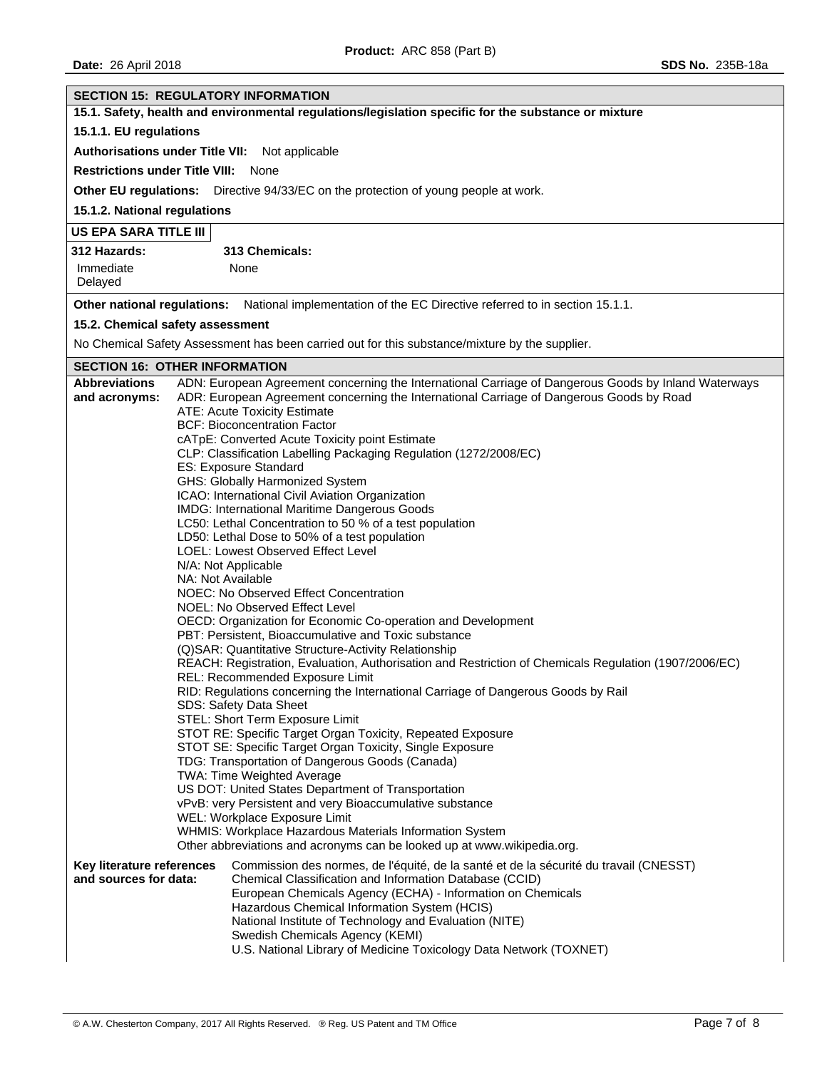| <b>SECTION 15: REGULATORY INFORMATION</b>                                                            |                                                                                                                                                                                                                                                                                                                           |  |  |
|------------------------------------------------------------------------------------------------------|---------------------------------------------------------------------------------------------------------------------------------------------------------------------------------------------------------------------------------------------------------------------------------------------------------------------------|--|--|
| 15.1. Safety, health and environmental regulations/legislation specific for the substance or mixture |                                                                                                                                                                                                                                                                                                                           |  |  |
| 15.1.1. EU regulations                                                                               |                                                                                                                                                                                                                                                                                                                           |  |  |
| Authorisations under Title VII: Not applicable                                                       |                                                                                                                                                                                                                                                                                                                           |  |  |
| <b>Restrictions under Title VIII:</b>                                                                | None                                                                                                                                                                                                                                                                                                                      |  |  |
|                                                                                                      | Other EU regulations: Directive 94/33/EC on the protection of young people at work.                                                                                                                                                                                                                                       |  |  |
| 15.1.2. National regulations                                                                         |                                                                                                                                                                                                                                                                                                                           |  |  |
| US EPA SARA TITLE III                                                                                |                                                                                                                                                                                                                                                                                                                           |  |  |
| 312 Hazards:                                                                                         | 313 Chemicals:                                                                                                                                                                                                                                                                                                            |  |  |
| Immediate                                                                                            | None                                                                                                                                                                                                                                                                                                                      |  |  |
| Delayed                                                                                              |                                                                                                                                                                                                                                                                                                                           |  |  |
| Other national regulations:                                                                          | National implementation of the EC Directive referred to in section 15.1.1.                                                                                                                                                                                                                                                |  |  |
| 15.2. Chemical safety assessment                                                                     |                                                                                                                                                                                                                                                                                                                           |  |  |
|                                                                                                      | No Chemical Safety Assessment has been carried out for this substance/mixture by the supplier.                                                                                                                                                                                                                            |  |  |
| <b>SECTION 16: OTHER INFORMATION</b>                                                                 |                                                                                                                                                                                                                                                                                                                           |  |  |
| <b>Abbreviations</b><br>and acronyms:                                                                | ADN: European Agreement concerning the International Carriage of Dangerous Goods by Inland Waterways<br>ADR: European Agreement concerning the International Carriage of Dangerous Goods by Road<br><b>ATE: Acute Toxicity Estimate</b>                                                                                   |  |  |
|                                                                                                      | <b>BCF: Bioconcentration Factor</b>                                                                                                                                                                                                                                                                                       |  |  |
|                                                                                                      | cATpE: Converted Acute Toxicity point Estimate<br>CLP: Classification Labelling Packaging Regulation (1272/2008/EC)                                                                                                                                                                                                       |  |  |
|                                                                                                      | ES: Exposure Standard                                                                                                                                                                                                                                                                                                     |  |  |
|                                                                                                      | GHS: Globally Harmonized System                                                                                                                                                                                                                                                                                           |  |  |
|                                                                                                      | ICAO: International Civil Aviation Organization<br>IMDG: International Maritime Dangerous Goods                                                                                                                                                                                                                           |  |  |
|                                                                                                      | LC50: Lethal Concentration to 50 % of a test population                                                                                                                                                                                                                                                                   |  |  |
|                                                                                                      | LD50: Lethal Dose to 50% of a test population                                                                                                                                                                                                                                                                             |  |  |
|                                                                                                      | LOEL: Lowest Observed Effect Level                                                                                                                                                                                                                                                                                        |  |  |
|                                                                                                      | N/A: Not Applicable<br>NA: Not Available                                                                                                                                                                                                                                                                                  |  |  |
|                                                                                                      | NOEC: No Observed Effect Concentration                                                                                                                                                                                                                                                                                    |  |  |
|                                                                                                      | NOEL: No Observed Effect Level                                                                                                                                                                                                                                                                                            |  |  |
|                                                                                                      | OECD: Organization for Economic Co-operation and Development<br>PBT: Persistent, Bioaccumulative and Toxic substance                                                                                                                                                                                                      |  |  |
|                                                                                                      | (Q)SAR: Quantitative Structure-Activity Relationship                                                                                                                                                                                                                                                                      |  |  |
|                                                                                                      | REACH: Registration, Evaluation, Authorisation and Restriction of Chemicals Regulation (1907/2006/EC)                                                                                                                                                                                                                     |  |  |
|                                                                                                      | REL: Recommended Exposure Limit                                                                                                                                                                                                                                                                                           |  |  |
|                                                                                                      | RID: Regulations concerning the International Carriage of Dangerous Goods by Rail<br><b>SDS: Safety Data Sheet</b>                                                                                                                                                                                                        |  |  |
|                                                                                                      | STEL: Short Term Exposure Limit                                                                                                                                                                                                                                                                                           |  |  |
|                                                                                                      | STOT RE: Specific Target Organ Toxicity, Repeated Exposure                                                                                                                                                                                                                                                                |  |  |
|                                                                                                      | STOT SE: Specific Target Organ Toxicity, Single Exposure<br>TDG: Transportation of Dangerous Goods (Canada)                                                                                                                                                                                                               |  |  |
|                                                                                                      | TWA: Time Weighted Average                                                                                                                                                                                                                                                                                                |  |  |
|                                                                                                      | US DOT: United States Department of Transportation                                                                                                                                                                                                                                                                        |  |  |
|                                                                                                      | vPvB: very Persistent and very Bioaccumulative substance<br>WEL: Workplace Exposure Limit                                                                                                                                                                                                                                 |  |  |
|                                                                                                      | WHMIS: Workplace Hazardous Materials Information System                                                                                                                                                                                                                                                                   |  |  |
|                                                                                                      | Other abbreviations and acronyms can be looked up at www.wikipedia.org.                                                                                                                                                                                                                                                   |  |  |
| Key literature references<br>and sources for data:                                                   | Commission des normes, de l'équité, de la santé et de la sécurité du travail (CNESST)<br>Chemical Classification and Information Database (CCID)<br>European Chemicals Agency (ECHA) - Information on Chemicals<br>Hazardous Chemical Information System (HCIS)<br>National Institute of Technology and Evaluation (NITE) |  |  |
|                                                                                                      | Swedish Chemicals Agency (KEMI)<br>U.S. National Library of Medicine Toxicology Data Network (TOXNET)                                                                                                                                                                                                                     |  |  |